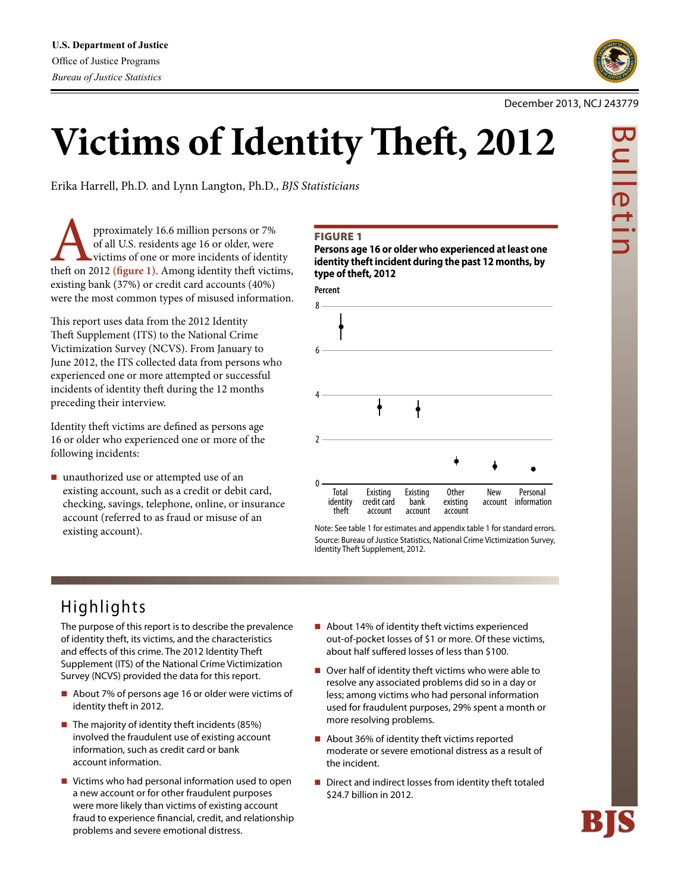

## December 2013, NCJ 243779

# **Victims of Identity Theft, 2012**

Erika Harrell, Ph.D. and Lynn Langton, Ph.D., *BJS Statisticians*

**A**<br>**heft** or all U.S. residents age 16 or older, were<br>victims of one or more incidents of identity<br>theft on 2012 (figure 1). Among identity theft victims, of all U.S. residents age 16 or older, were victims of one or more incidents of identity existing bank (37%) or credit card accounts (40%) were the most common types of misused information.

This report uses data from the 2012 Identity Theft Supplement (ITS) to the National Crime Victimization Survey (NCVS). From January to June 2012, the ITS collected data from persons who experienced one or more attempted or successful incidents of identity theft during the 12 months preceding their interview.

Identity theft victims are defined as persons age 16 or older who experienced one or more of the following incidents:

■ unauthorized use or attempted use of an existing account, such as a credit or debit card, checking, savings, telephone, online, or insurance account (referred to as fraud or misuse of an existing account).

## Figure 1

**Persons age 16 or older who experienced at least one identity theft incident during the past 12 months, by type of theft, 2012**



Note: See table 1 for estimates and appendix table 1 for standard errors. Source: Bureau of Justice Statistics, National Crime Victimization Survey, Identity Theft Supplement, 2012.

## Highlights

The purpose of this report is to describe the prevalence of identity theft, its victims, and the characteristics and effects of this crime. The 2012 Identity Theft Supplement (ITS) of the National Crime Victimization Survey (NCVS) provided the data for this report.

- About 7% of persons age 16 or older were victims of identity theft in 2012.
- $\blacksquare$  The majority of identity theft incidents (85%) involved the fraudulent use of existing account information, such as credit card or bank account information.
- Victims who had personal information used to open a new account or for other fraudulent purposes were more likely than victims of existing account fraud to experience financial, credit, and relationship problems and severe emotional distress.
- About 14% of identity theft victims experienced out-of-pocket losses of \$1 or more. Of these victims, about half suffered losses of less than \$100.
- Over half of identity theft victims who were able to resolve any associated problems did so in a day or less; among victims who had personal information used for fraudulent purposes, 29% spent a month or more resolving problems.
- About 36% of identity theft victims reported moderate or severe emotional distress as a result of the incident.
- Direct and indirect losses from identity theft totaled \$24.7 billion in 2012.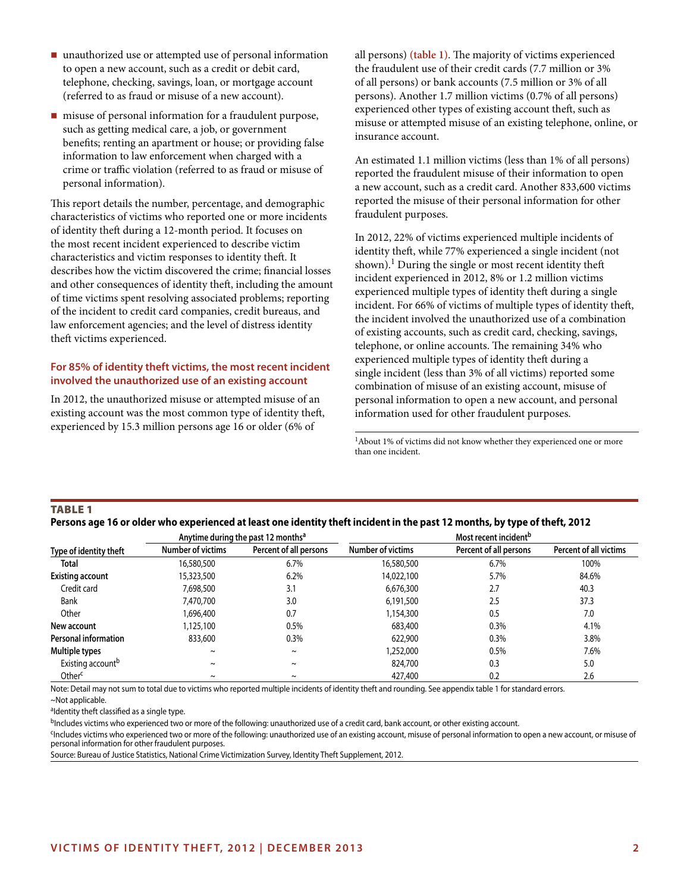- unauthorized use or attempted use of personal information to open a new account, such as a credit or debit card, telephone, checking, savings, loan, or mortgage account (referred to as fraud or misuse of a new account).
- misuse of personal information for a fraudulent purpose, such as getting medical care, a job, or government benefits; renting an apartment or house; or providing false information to law enforcement when charged with a crime or traffic violation (referred to as fraud or misuse of personal information).

This report details the number, percentage, and demographic characteristics of victims who reported one or more incidents of identity theft during a 12-month period. It focuses on the most recent incident experienced to describe victim characteristics and victim responses to identity theft. It describes how the victim discovered the crime; financial losses and other consequences of identity theft, including the amount of time victims spent resolving associated problems; reporting of the incident to credit card companies, credit bureaus, and law enforcement agencies; and the level of distress identity theft victims experienced.

## **For 85% of identity theft victims, the most recent incident involved the unauthorized use of an existing account**

In 2012, the unauthorized misuse or attempted misuse of an existing account was the most common type of identity theft, experienced by 15.3 million persons age 16 or older (6% of

all persons) **(table 1)**. The majority of victims experienced the fraudulent use of their credit cards (7.7 million or 3% of all persons) or bank accounts (7.5 million or 3% of all persons). Another 1.7 million victims (0.7% of all persons) experienced other types of existing account theft, such as misuse or attempted misuse of an existing telephone, online, or insurance account.

An estimated 1.1 million victims (less than 1% of all persons) reported the fraudulent misuse of their information to open a new account, such as a credit card. Another 833,600 victims reported the misuse of their personal information for other fraudulent purposes.

In 2012, 22% of victims experienced multiple incidents of identity theft, while 77% experienced a single incident (not shown).<sup>1</sup> During the single or most recent identity theft incident experienced in 2012, 8% or 1.2 million victims experienced multiple types of identity theft during a single incident. For 66% of victims of multiple types of identity theft, the incident involved the unauthorized use of a combination of existing accounts, such as credit card, checking, savings, telephone, or online accounts. The remaining 34% who experienced multiple types of identity theft during a single incident (less than 3% of all victims) reported some combination of misuse of an existing account, misuse of personal information to open a new account, and personal information used for other fraudulent purposes.

 $\rm ^1A$  bout 1% of victims did not know whether they experienced one or more than one incident.

## Table 1

**Persons age 16 or older who experienced at least one identity theft incident in the past 12 months, by type of theft, 2012**

| Anytime during the past 12 months <sup>a</sup> |                   |                        | Most recent incident <sup>b</sup> |                        |                               |  |  |
|------------------------------------------------|-------------------|------------------------|-----------------------------------|------------------------|-------------------------------|--|--|
| Type of identity theft                         | Number of victims | Percent of all persons | Number of victims                 | Percent of all persons | <b>Percent of all victims</b> |  |  |
| <b>Total</b>                                   | 16,580,500        | 6.7%                   | 16,580,500                        | 6.7%                   | 100%                          |  |  |
| <b>Existing account</b>                        | 15,323,500        | 6.2%                   | 14,022,100                        | 5.7%                   | 84.6%                         |  |  |
| Credit card                                    | 7,698,500         | 3.1                    | 6,676,300                         | 2.7                    | 40.3                          |  |  |
| Bank                                           | 7,470,700         | 3.0                    | 6.191.500                         | 2.5                    | 37.3                          |  |  |
| Other                                          | 1,696,400         | 0.7                    | 1,154,300                         | 0.5                    | 7.0                           |  |  |
| New account                                    | 1,125,100         | 0.5%                   | 683,400                           | 0.3%                   | 4.1%                          |  |  |
| <b>Personal information</b>                    | 833,600           | 0.3%                   | 622,900                           | 0.3%                   | 3.8%                          |  |  |
| Multiple types                                 | $\tilde{}$        | $\tilde{\phantom{a}}$  | 1,252,000                         | 0.5%                   | 7.6%                          |  |  |
| Existing account <sup>b</sup>                  | $\tilde{}$        | $\tilde{\phantom{a}}$  | 824,700                           | 0.3                    | 5.0                           |  |  |
| Other <sup>c</sup>                             | $\tilde{}$        | $\tilde{\phantom{a}}$  | 427,400                           | 0.2                    | 2.6                           |  |  |

Note: Detail may not sum to total due to victims who reported multiple incidents of identity theft and rounding. See appendix table 1 for standard errors.

~Not applicable.

aldentity theft classified as a single type.

<sup>b</sup>Includes victims who experienced two or more of the following: unauthorized use of a credit card, bank account, or other existing account.

<sup>c</sup>Includes victims who experienced two or more of the following: unauthorized use of an existing account, misuse of personal information to open a new account, or misuse of personal information for other fraudulent purposes.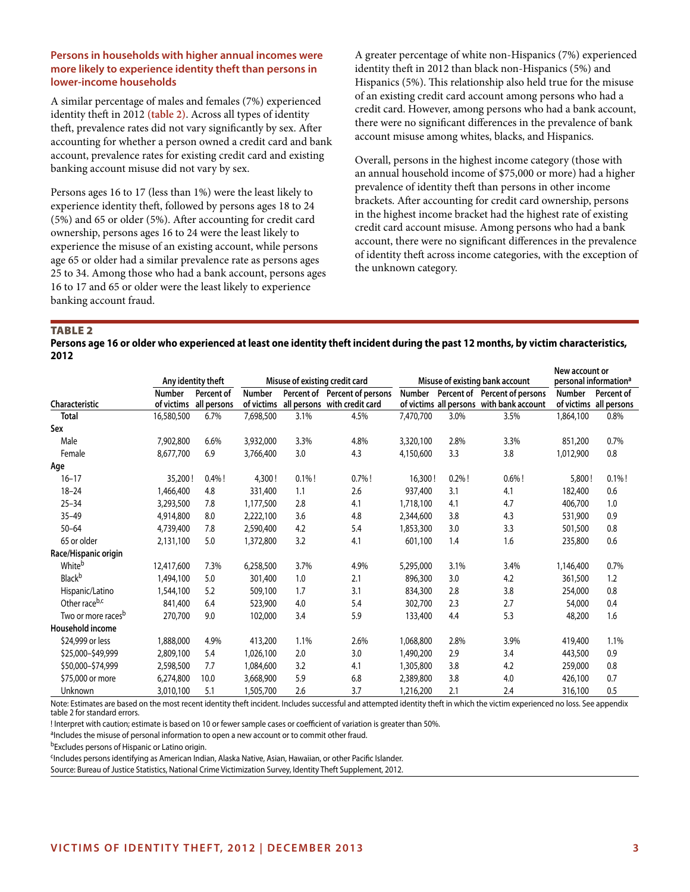## **Persons in households with higher annual incomes were more likely to experience identity theft than persons in lower-income households**

A similar percentage of males and females (7%) experienced identity theft in 2012 **(table 2)**. Across all types of identity theft, prevalence rates did not vary significantly by sex. After accounting for whether a person owned a credit card and bank account, prevalence rates for existing credit card and existing banking account misuse did not vary by sex.

Persons ages 16 to 17 (less than 1%) were the least likely to experience identity theft, followed by persons ages 18 to 24 (5%) and 65 or older (5%). After accounting for credit card ownership, persons ages 16 to 24 were the least likely to experience the misuse of an existing account, while persons age 65 or older had a similar prevalence rate as persons ages 25 to 34. Among those who had a bank account, persons ages 16 to 17 and 65 or older were the least likely to experience banking account fraud.

A greater percentage of white non-Hispanics (7%) experienced identity theft in 2012 than black non-Hispanics (5%) and Hispanics (5%). This relationship also held true for the misuse of an existing credit card account among persons who had a credit card. However, among persons who had a bank account, there were no significant differences in the prevalence of bank account misuse among whites, blacks, and Hispanics.

Overall, persons in the highest income category (those with an annual household income of \$75,000 or more) had a higher prevalence of identity theft than persons in other income brackets. After accounting for credit card ownership, persons in the highest income bracket had the highest rate of existing credit card account misuse. Among persons who had a bank account, there were no significant differences in the prevalence of identity theft across income categories, with the exception of the unknown category.

Table 2

**Persons age 16 or older who experienced at least one identity theft incident during the past 12 months, by victim characteristics, 2012**

|                                |                             |                           |                      |           |                                                               |               |           |                                                                           | New account or                    |                                      |
|--------------------------------|-----------------------------|---------------------------|----------------------|-----------|---------------------------------------------------------------|---------------|-----------|---------------------------------------------------------------------------|-----------------------------------|--------------------------------------|
|                                | Any identity theft          |                           |                      |           | Misuse of existing credit card                                |               |           | Misuse of existing bank account                                           | personal information <sup>a</sup> |                                      |
| Characteristic                 | <b>Number</b><br>of victims | Percent of<br>all persons | Number<br>of victims |           | Percent of Percent of persons<br>all persons with credit card | <b>Number</b> |           | Percent of Percent of persons<br>of victims all persons with bank account | <b>Number</b>                     | Percent of<br>of victims all persons |
| <b>Total</b>                   | 16,580,500                  | 6.7%                      | 7,698,500            | 3.1%      | 4.5%                                                          | 7,470,700     | 3.0%      | 3.5%                                                                      | 1,864,100                         | 0.8%                                 |
| Sex                            |                             |                           |                      |           |                                                               |               |           |                                                                           |                                   |                                      |
| Male                           | 7,902,800                   | 6.6%                      | 3,932,000            | 3.3%      | 4.8%                                                          | 3,320,100     | 2.8%      | 3.3%                                                                      | 851,200                           | 0.7%                                 |
| Female                         | 8,677,700                   | 6.9                       | 3,766,400            | 3.0       | 4.3                                                           | 4,150,600     | 3.3       | 3.8                                                                       | 1,012,900                         | 0.8                                  |
| Age                            |                             |                           |                      |           |                                                               |               |           |                                                                           |                                   |                                      |
| $16 - 17$                      | 35,200!                     | $0.4\%$ !                 | 4,300!               | $0.1\%$ ! | $0.7%$ !                                                      | 16,300!       | $0.2\%$ ! | $0.6\%$ !                                                                 | 5,800!                            | $0.1\%$ !                            |
| $18 - 24$                      | 1,466,400                   | 4.8                       | 331,400              | 1.1       | 2.6                                                           | 937,400       | 3.1       | 4.1                                                                       | 182,400                           | 0.6                                  |
| $25 - 34$                      | 3,293,500                   | 7.8                       | 1,177,500            | 2.8       | 4.1                                                           | 1,718,100     | 4.1       | 4.7                                                                       | 406,700                           | 1.0                                  |
| $35 - 49$                      | 4,914,800                   | 8.0                       | 2,222,100            | 3.6       | 4.8                                                           | 2,344,600     | 3.8       | 4.3                                                                       | 531,900                           | 0.9                                  |
| $50 - 64$                      | 4,739,400                   | 7.8                       | 2,590,400            | 4.2       | 5.4                                                           | 1,853,300     | 3.0       | 3.3                                                                       | 501,500                           | 0.8                                  |
| 65 or older                    | 2,131,100                   | 5.0                       | 1,372,800            | 3.2       | 4.1                                                           | 601,100       | 1.4       | 1.6                                                                       | 235,800                           | 0.6                                  |
| Race/Hispanic origin           |                             |                           |                      |           |                                                               |               |           |                                                                           |                                   |                                      |
| Whiteb                         | 12,417,600                  | 7.3%                      | 6,258,500            | 3.7%      | 4.9%                                                          | 5,295,000     | 3.1%      | 3.4%                                                                      | 1,146,400                         | 0.7%                                 |
| <b>Black</b> b                 | 1,494,100                   | 5.0                       | 301,400              | 1.0       | 2.1                                                           | 896,300       | 3.0       | 4.2                                                                       | 361,500                           | 1.2                                  |
| Hispanic/Latino                | 1,544,100                   | 5.2                       | 509,100              | 1.7       | 3.1                                                           | 834,300       | 2.8       | 3.8                                                                       | 254,000                           | 0.8                                  |
| Other raceb,c                  | 841,400                     | 6.4                       | 523,900              | 4.0       | 5.4                                                           | 302,700       | 2.3       | 2.7                                                                       | 54,000                            | 0.4                                  |
| Two or more races <sup>b</sup> | 270,700                     | 9.0                       | 102,000              | 3.4       | 5.9                                                           | 133,400       | 4.4       | 5.3                                                                       | 48,200                            | 1.6                                  |
| Household income               |                             |                           |                      |           |                                                               |               |           |                                                                           |                                   |                                      |
| \$24,999 or less               | 1,888,000                   | 4.9%                      | 413,200              | 1.1%      | 2.6%                                                          | 1,068,800     | 2.8%      | 3.9%                                                                      | 419,400                           | 1.1%                                 |
| \$25,000-\$49,999              | 2,809,100                   | 5.4                       | 1,026,100            | 2.0       | 3.0                                                           | 1,490,200     | 2.9       | 3.4                                                                       | 443,500                           | 0.9                                  |
| \$50,000-\$74,999              | 2,598,500                   | 7.7                       | 1,084,600            | 3.2       | 4.1                                                           | 1,305,800     | 3.8       | 4.2                                                                       | 259,000                           | 0.8                                  |
| \$75,000 or more               | 6,274,800                   | 10.0                      | 3,668,900            | 5.9       | 6.8                                                           | 2,389,800     | 3.8       | 4.0                                                                       | 426,100                           | 0.7                                  |
| Unknown                        | 3,010,100                   | 5.1                       | 1,505,700            | 2.6       | 3.7                                                           | 1,216,200     | 2.1       | 2.4                                                                       | 316,100                           | 0.5                                  |

Note: Estimates are based on the most recent identity theft incident. Includes successful and attempted identity theft in which the victim experienced no loss. See appendix table 2 for standard errors.

! Interpret with caution; estimate is based on 10 or fewer sample cases or coefficient of variation is greater than 50%.

<sup>a</sup>Includes the misuse of personal information to open a new account or to commit other fraud.

b<sub>Excludes</sub> persons of Hispanic or Latino origin.

<sup>c</sup>Includes persons identifying as American Indian, Alaska Native, Asian, Hawaiian, or other Pacific Islander.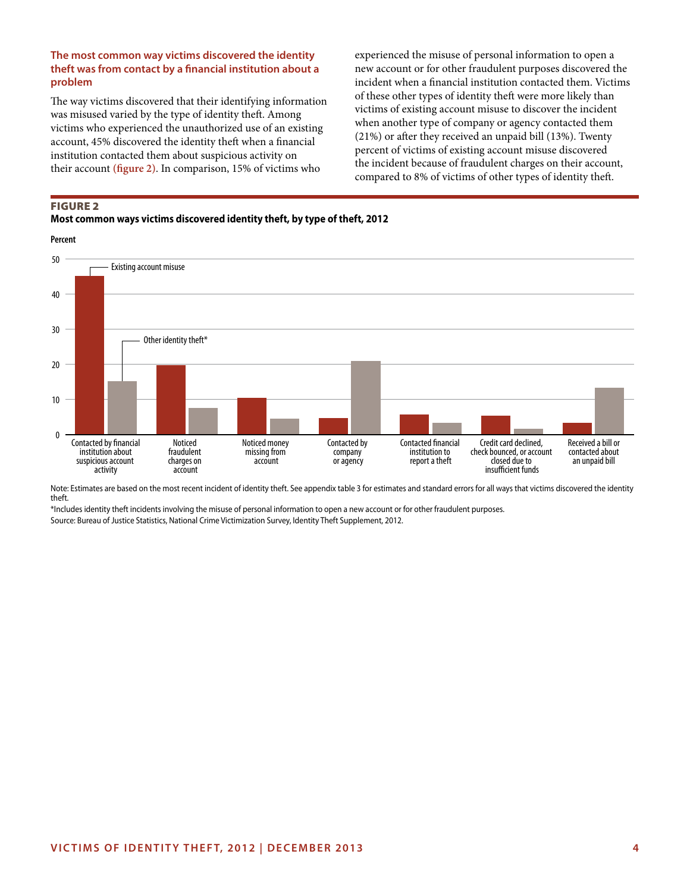## **The most common way victims discovered the identity theft was from contact by a financial institution about a problem**

The way victims discovered that their identifying information was misused varied by the type of identity theft. Among victims who experienced the unauthorized use of an existing account, 45% discovered the identity theft when a financial institution contacted them about suspicious activity on their account **(figure 2)**. In comparison, 15% of victims who

experienced the misuse of personal information to open a new account or for other fraudulent purposes discovered the incident when a financial institution contacted them. Victims of these other types of identity theft were more likely than victims of existing account misuse to discover the incident when another type of company or agency contacted them (21%) or after they received an unpaid bill (13%). Twenty percent of victims of existing account misuse discovered the incident because of fraudulent charges on their account, compared to 8% of victims of other types of identity theft.

## Figure 2 **Most common ways victims discovered identity theft, by type of theft, 2012**

**Percent**



Note: Estimates are based on the most recent incident of identity theft. See appendix table 3 for estimates and standard errors for all ways that victims discovered the identity theft.

\*Includes identity theft incidents involving the misuse of personal information to open a new account or for other fraudulent purposes.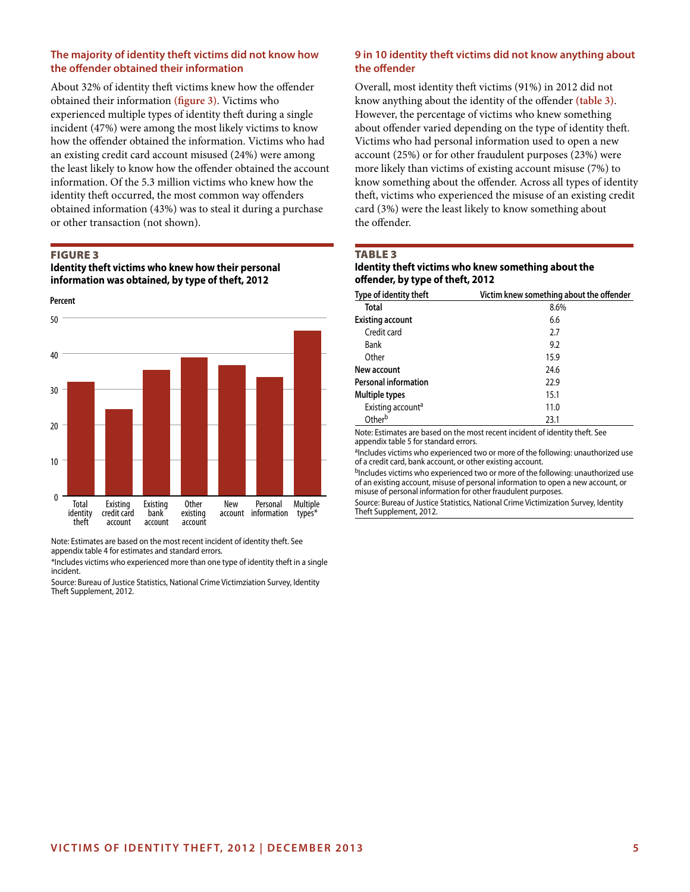## **The majority of identity theft victims did not know how the offender obtained their information**

About 32% of identity theft victims knew how the offender obtained their information **(figure 3)**. Victims who experienced multiple types of identity theft during a single incident (47%) were among the most likely victims to know how the offender obtained the information. Victims who had an existing credit card account misused (24%) were among the least likely to know how the offender obtained the account information. Of the 5.3 million victims who knew how the identity theft occurred, the most common way offenders obtained information (43%) was to steal it during a purchase or other transaction (not shown).

## Figure 3

**Identity theft victims who knew how their personal information was obtained, by type of theft, 2012**



Note: Estimates are based on the most recent incident of identity theft. See appendix table 4 for estimates and standard errors.

\*Includes victims who experienced more than one type of identity theft in a single incident.

Source: Bureau of Justice Statistics, National Crime Victimziation Survey, Identity Theft Supplement, 2012.

## **9 in 10 identity theft victims did not know anything about the offender**

Overall, most identity theft victims (91%) in 2012 did not know anything about the identity of the offender **(table 3)**. However, the percentage of victims who knew something about offender varied depending on the type of identity theft. Victims who had personal information used to open a new account (25%) or for other fraudulent purposes (23%) were more likely than victims of existing account misuse (7%) to know something about the offender. Across all types of identity theft, victims who experienced the misuse of an existing credit card (3%) were the least likely to know something about the offender.

#### TABLE<sub>3</sub>

## **Identity theft victims who knew something about the offender, by type of theft, 2012**

| Type of identity theft        | Victim knew something about the offender |
|-------------------------------|------------------------------------------|
| Total                         | 8.6%                                     |
| <b>Existing account</b>       | 6.6                                      |
| Credit card                   | 2.7                                      |
| Bank                          | 9.2                                      |
| Other                         | 15.9                                     |
| New account                   | 24.6                                     |
| <b>Personal information</b>   | 22.9                                     |
| Multiple types                | 15.1                                     |
| Existing account <sup>a</sup> | 11.0                                     |
| Other <sup>b</sup>            | 23.1                                     |

Note: Estimates are based on the most recent incident of identity theft. See appendix table 5 for standard errors.

aIncludes victims who experienced two or more of the following: unauthorized use of a credit card, bank account, or other existing account.

bIncludes victims who experienced two or more of the following: unauthorized use of an existing account, misuse of personal information to open a new account, or misuse of personal information for other fraudulent purposes.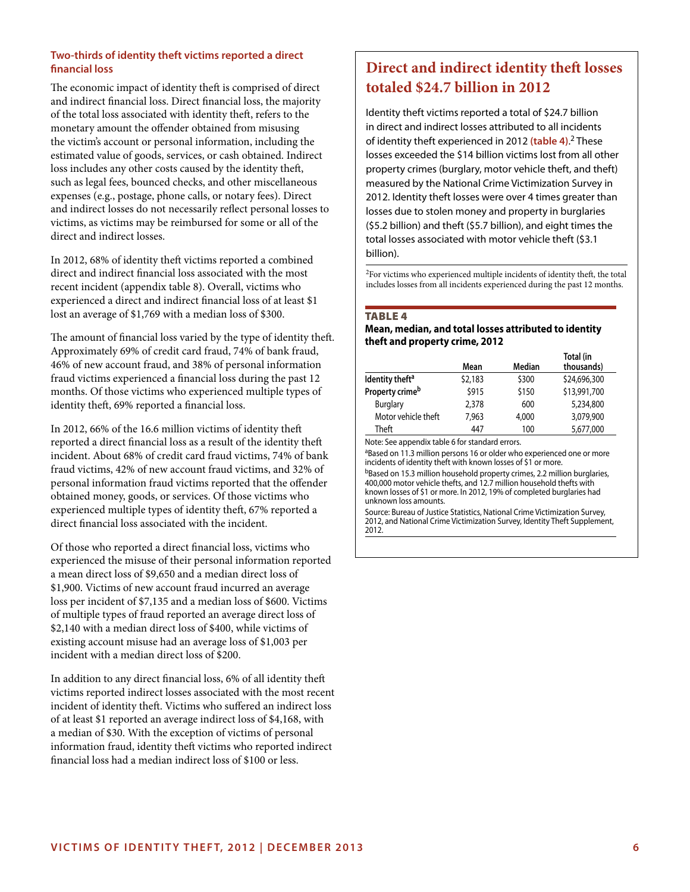## **Two-thirds of identity theft victims reported a direct financial loss**

The economic impact of identity theft is comprised of direct and indirect financial loss. Direct financial loss, the majority of the total loss associated with identity theft, refers to the monetary amount the offender obtained from misusing the victim's account or personal information, including the estimated value of goods, services, or cash obtained. Indirect loss includes any other costs caused by the identity theft, such as legal fees, bounced checks, and other miscellaneous expenses (e.g., postage, phone calls, or notary fees). Direct and indirect losses do not necessarily reflect personal losses to victims, as victims may be reimbursed for some or all of the direct and indirect losses.

In 2012, 68% of identity theft victims reported a combined direct and indirect financial loss associated with the most recent incident (appendix table 8). Overall, victims who experienced a direct and indirect financial loss of at least \$1 lost an average of \$1,769 with a median loss of \$300.

The amount of financial loss varied by the type of identity theft. Approximately 69% of credit card fraud, 74% of bank fraud, 46% of new account fraud, and 38% of personal information fraud victims experienced a financial loss during the past 12 months. Of those victims who experienced multiple types of identity theft, 69% reported a financial loss.

In 2012, 66% of the 16.6 million victims of identity theft reported a direct financial loss as a result of the identity theft incident. About 68% of credit card fraud victims, 74% of bank fraud victims, 42% of new account fraud victims, and 32% of personal information fraud victims reported that the offender obtained money, goods, or services. Of those victims who experienced multiple types of identity theft, 67% reported a direct financial loss associated with the incident.

Of those who reported a direct financial loss, victims who experienced the misuse of their personal information reported a mean direct loss of \$9,650 and a median direct loss of \$1,900. Victims of new account fraud incurred an average loss per incident of \$7,135 and a median loss of \$600. Victims of multiple types of fraud reported an average direct loss of \$2,140 with a median direct loss of \$400, while victims of existing account misuse had an average loss of \$1,003 per incident with a median direct loss of \$200.

In addition to any direct financial loss, 6% of all identity theft victims reported indirect losses associated with the most recent incident of identity theft. Victims who suffered an indirect loss of at least \$1 reported an average indirect loss of \$4,168, with a median of \$30. With the exception of victims of personal information fraud, identity theft victims who reported indirect financial loss had a median indirect loss of \$100 or less.

## **Direct and indirect identity theft losses totaled \$24.7 billion in 2012**

Identity theft victims reported a total of \$24.7 billion in direct and indirect losses attributed to all incidents of identity theft experienced in 2012 **(table 4)**. 2 These losses exceeded the \$14 billion victims lost from all other property crimes (burglary, motor vehicle theft, and theft) measured by the National Crime Victimization Survey in 2012. Identity theft losses were over 4 times greater than losses due to stolen money and property in burglaries (\$5.2 billion) and theft (\$5.7 billion), and eight times the total losses associated with motor vehicle theft (\$3.1 billion).

2For victims who experienced multiple incidents of identity theft, the total includes losses from all incidents experienced during the past 12 months.

## TABLE<sub>4</sub>

## **Mean, median, and total losses attributed to identity theft and property crime, 2012**

|                             | Mean    | Median | Total (in<br>thousands) |
|-----------------------------|---------|--------|-------------------------|
| Identity theft <sup>a</sup> | \$2,183 | \$300  | \$24,696,300            |
| Property crime <sup>b</sup> | \$915   | \$150  | \$13,991,700            |
| <b>Burglary</b>             | 2,378   | 600    | 5,234,800               |
| Motor vehicle theft         | 7.963   | 4,000  | 3.079.900               |
| Theft                       | 447     | 100    | 5,677,000               |

Note: See appendix table 6 for standard errors.

aBased on 11.3 million persons 16 or older who experienced one or more incidents of identity theft with known losses of \$1 or more.

<sup>b</sup>Based on 15.3 million household property crimes, 2.2 million burglaries, 400,000 motor vehicle thefts, and 12.7 million household thefts with known losses of \$1 or more. In 2012, 19% of completed burglaries had unknown loss amounts.

Source: Bureau of Justice Statistics, National Crime Victimization Survey, 2012, and National Crime Victimization Survey, Identity Theft Supplement, 2012.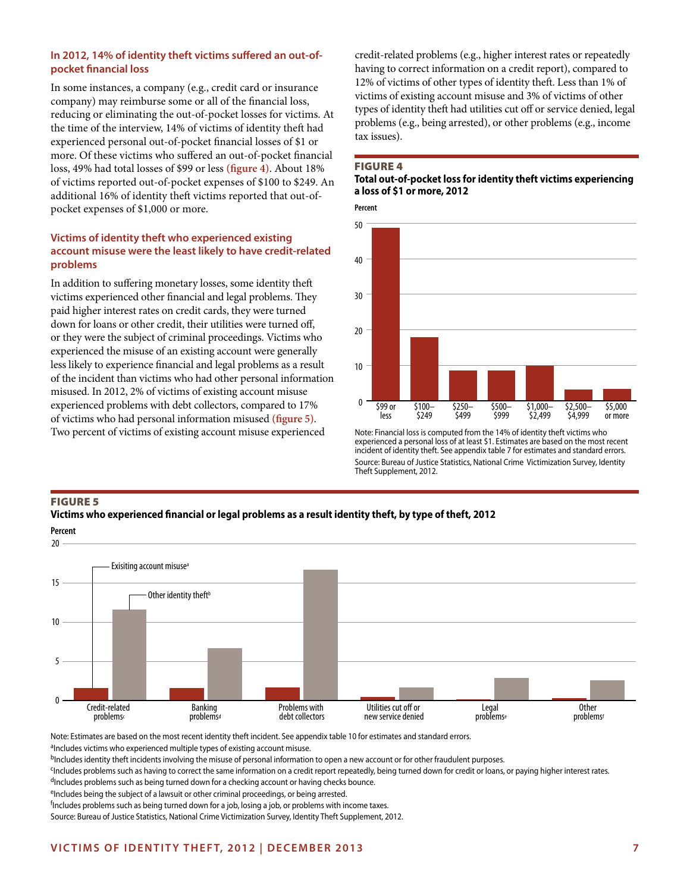## **In 2012, 14% of identity theft victims suffered an out-ofpocket financial loss**

In some instances, a company (e.g., credit card or insurance company) may reimburse some or all of the financial loss, reducing or eliminating the out-of-pocket losses for victims. At the time of the interview, 14% of victims of identity theft had experienced personal out-of-pocket financial losses of \$1 or more. Of these victims who suffered an out-of-pocket financial loss, 49% had total losses of \$99 or less **(figure 4)**. About 18% of victims reported out-of-pocket expenses of \$100 to \$249. An additional 16% of identity theft victims reported that out-ofpocket expenses of \$1,000 or more.

## **Victims of identity theft who experienced existing account misuse were the least likely to have credit-related problems**

In addition to suffering monetary losses, some identity theft victims experienced other financial and legal problems. They paid higher interest rates on credit cards, they were turned down for loans or other credit, their utilities were turned off, or they were the subject of criminal proceedings. Victims who experienced the misuse of an existing account were generally less likely to experience financial and legal problems as a result of the incident than victims who had other personal information misused. In 2012, 2% of victims of existing account misuse experienced problems with debt collectors, compared to 17% of victims who had personal information misused **(figure 5)**. Two percent of victims of existing account misuse experienced

credit-related problems (e.g., higher interest rates or repeatedly having to correct information on a credit report), compared to 12% of victims of other types of identity theft. Less than 1% of victims of existing account misuse and 3% of victims of other types of identity theft had utilities cut off or service denied, legal problems (e.g., being arrested), or other problems (e.g., income tax issues).

## Figure 4

## **Total out-of-pocket loss for identity theft victims experiencing a loss of \$1 or more, 2012**

**Percent**



Note: Financial loss is computed from the 14% of identity theft victims who experienced a personal loss of at least \$1. Estimates are based on the most recent incident of identity theft. See appendix table 7 for estimates and standard errors. Source: Bureau of Justice Statistics, National Crime Victimization Survey, Identity Theft Supplement, 2012.

## Figure 5 **Victims who experienced financial or legal problems as a result identity theft, by type of theft, 2012**



Note: Estimates are based on the most recent identity theft incident. See appendix table 10 for estimates and standard errors.

<sup>a</sup>Includes victims who experienced multiple types of existing account misuse.

bIncludes identity theft incidents involving the misuse of personal information to open a new account or for other fraudulent purposes.

Fincludes problems such as having to correct the same information on a credit report repeatedly, being turned down for credit or loans, or paying higher interest rates. dIncludes problems such as being turned down for a checking account or having checks bounce.

eIncludes being the subject of a lawsuit or other criminal proceedings, or being arrested.

<sup>f</sup>Includes problems such as being turned down for a job, losing a job, or problems with income taxes.

Source: Bureau of Justice Statistics, National Crime Victimization Survey, Identity Theft Supplement, 2012.

## **Victims of identity theft, 2012 | DECember 2013 7**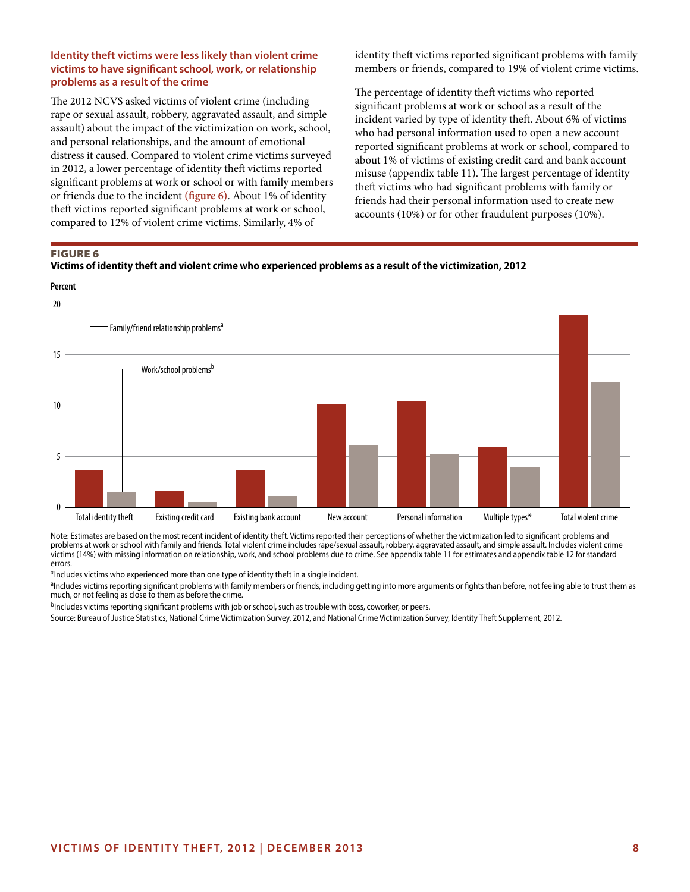## **Identity theft victims were less likely than violent crime victims to have significant school, work, or relationship problems as a result of the crime**

The 2012 NCVS asked victims of violent crime (including rape or sexual assault, robbery, aggravated assault, and simple assault) about the impact of the victimization on work, school, and personal relationships, and the amount of emotional distress it caused. Compared to violent crime victims surveyed in 2012, a lower percentage of identity theft victims reported significant problems at work or school or with family members or friends due to the incident **(figure 6)**. About 1% of identity theft victims reported significant problems at work or school, compared to 12% of violent crime victims. Similarly, 4% of

identity theft victims reported significant problems with family members or friends, compared to 19% of violent crime victims.

The percentage of identity theft victims who reported significant problems at work or school as a result of the incident varied by type of identity theft. About 6% of victims who had personal information used to open a new account reported significant problems at work or school, compared to about 1% of victims of existing credit card and bank account misuse (appendix table 11). The largest percentage of identity theft victims who had significant problems with family or friends had their personal information used to create new accounts (10%) or for other fraudulent purposes (10%).

## Figure 6





Note: Estimates are based on the most recent incident of identity theft. Victims reported their perceptions of whether the victimization led to significant problems and problems at work or school with family and friends. Total violent crime includes rape/sexual assault, robbery, aggravated assault, and simple assault. Includes violent crime victims (14%) with missing information on relationship, work, and school problems due to crime. See appendix table 11 for estimates and appendix table 12 for standard errors.

\*Includes victims who experienced more than one type of identity theft in a single incident.

<sup>a</sup>Includes victims reporting significant problems with family members or friends, including getting into more arguments or fights than before, not feeling able to trust them as much, or not feeling as close to them as before the crime.

bIncludes victims reporting significant problems with job or school, such as trouble with boss, coworker, or peers.

Source: Bureau of Justice Statistics, National Crime Victimization Survey, 2012, and National Crime Victimization Survey, Identity Theft Supplement, 2012.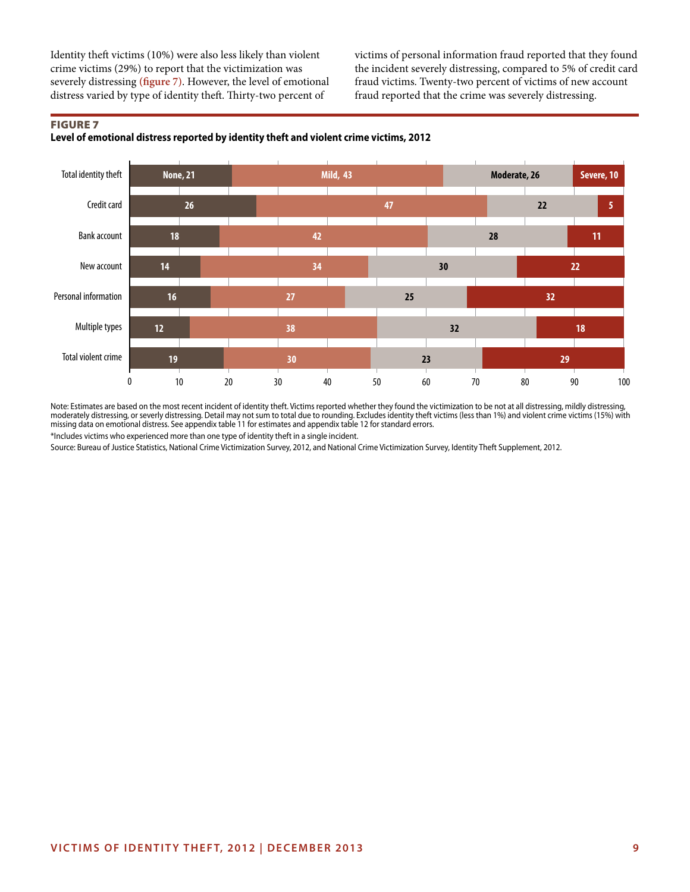Identity theft victims (10%) were also less likely than violent crime victims (29%) to report that the victimization was severely distressing **(figure 7)**. However, the level of emotional distress varied by type of identity theft. Thirty-two percent of

victims of personal information fraud reported that they found the incident severely distressing, compared to 5% of credit card fraud victims. Twenty-two percent of victims of new account fraud reported that the crime was severely distressing.

#### Figure 7 **Level of emotional distress reported by identity theft and violent crime victims, 2012**



Note: Estimates are based on the most recent incident of identity theft. Victims reported whether they found the victimization to be not at all distressing, mildly distressing, moderately distressing, or severly distressing. Detail may not sum to total due to rounding. Excludes identity theft victims (less than 1%) and violent crime victims (15%) with missing data on emotional distress. See appendix table 11 for estimates and appendix table 12 for standard errors.

\*Includes victims who experienced more than one type of identity theft in a single incident.

Source: Bureau of Justice Statistics, National Crime Victimization Survey, 2012, and National Crime Victimization Survey, Identity Theft Supplement, 2012.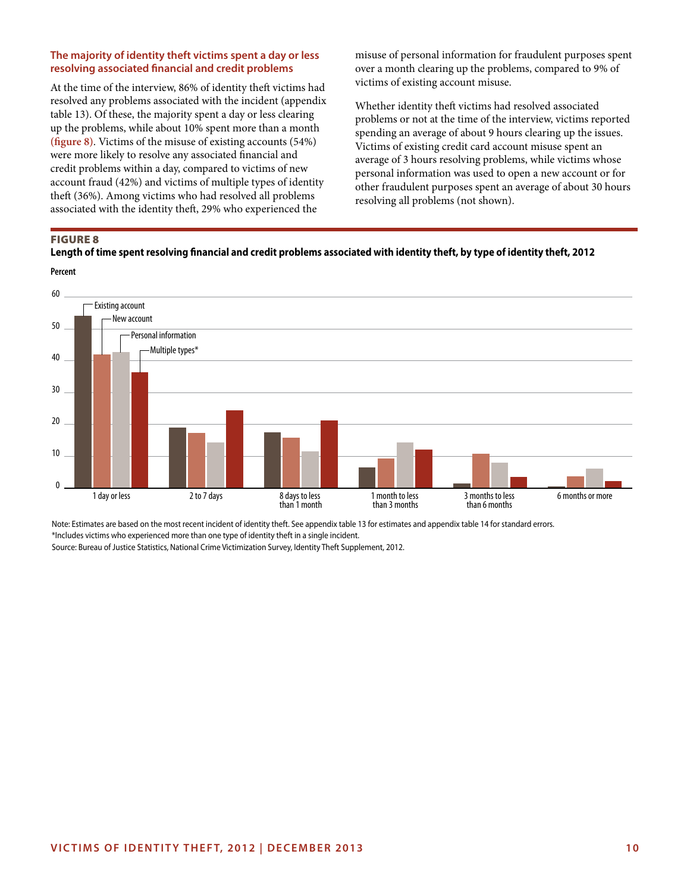## **The majority of identity theft victims spent a day or less resolving associated financial and credit problems**

At the time of the interview, 86% of identity theft victims had resolved any problems associated with the incident (appendix table 13). Of these, the majority spent a day or less clearing up the problems, while about 10% spent more than a month **(figure 8)**. Victims of the misuse of existing accounts (54%) were more likely to resolve any associated financial and credit problems within a day, compared to victims of new account fraud (42%) and victims of multiple types of identity theft (36%). Among victims who had resolved all problems associated with the identity theft, 29% who experienced the

misuse of personal information for fraudulent purposes spent over a month clearing up the problems, compared to 9% of victims of existing account misuse.

Whether identity theft victims had resolved associated problems or not at the time of the interview, victims reported spending an average of about 9 hours clearing up the issues. Victims of existing credit card account misuse spent an average of 3 hours resolving problems, while victims whose personal information was used to open a new account or for other fraudulent purposes spent an average of about 30 hours resolving all problems (not shown).

## Figure 8

## **Length of time spent resolving financial and credit problems associated with identity theft, by type of identity theft, 2012**



Note: Estimates are based on the most recent incident of identity theft. See appendix table 13 for estimates and appendix table 14 for standard errors. \*Includes victims who experienced more than one type of identity theft in a single incident.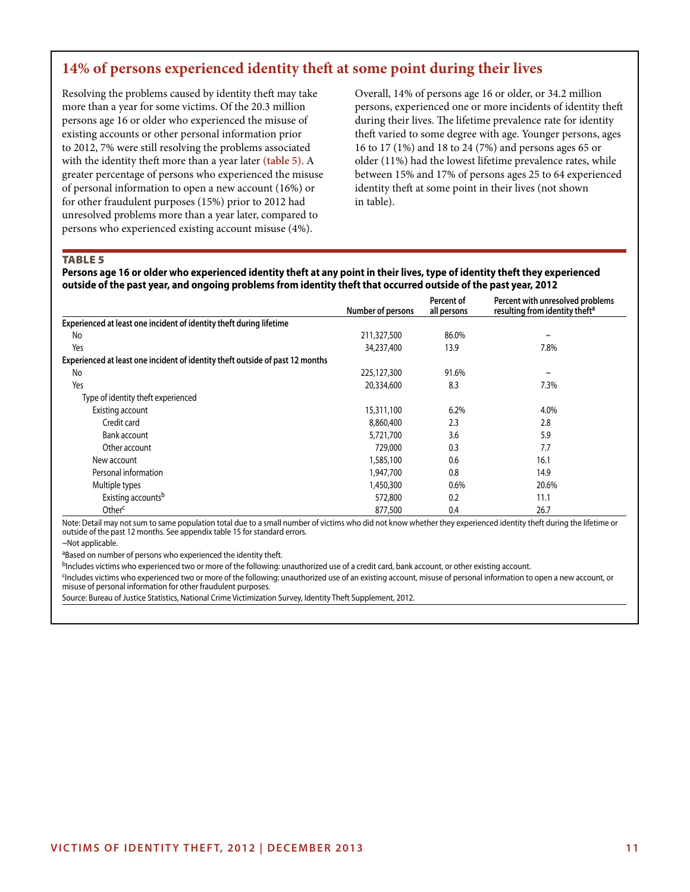## **14% of persons experienced identity theft at some point during their lives**

Resolving the problems caused by identity theft may take more than a year for some victims. Of the 20.3 million persons age 16 or older who experienced the misuse of existing accounts or other personal information prior to 2012, 7% were still resolving the problems associated with the identity theft more than a year later **(table 5)**. A greater percentage of persons who experienced the misuse of personal information to open a new account (16%) or for other fraudulent purposes (15%) prior to 2012 had unresolved problems more than a year later, compared to persons who experienced existing account misuse (4%).

Overall, 14% of persons age 16 or older, or 34.2 million persons, experienced one or more incidents of identity theft during their lives. The lifetime prevalence rate for identity theft varied to some degree with age. Younger persons, ages 16 to 17 (1%) and 18 to 24 (7%) and persons ages 65 or older (11%) had the lowest lifetime prevalence rates, while between 15% and 17% of persons ages 25 to 64 experienced identity theft at some point in their lives (not shown in table).

**TABLE 5** 

**Persons age 16 or older who experienced identity theft at any point in their lives, type of identity theft they experienced outside of the past year, and ongoing problems from identity theft that occurred outside of the past year, 2012**

|                                                                               | Number of persons | Percent of<br>all persons | Percent with unresolved problems<br>resulting from identity theft <sup>a</sup> |
|-------------------------------------------------------------------------------|-------------------|---------------------------|--------------------------------------------------------------------------------|
| Experienced at least one incident of identity theft during lifetime           |                   |                           |                                                                                |
| No                                                                            | 211,327,500       | 86.0%                     | $\tilde{}$                                                                     |
| Yes                                                                           | 34,237,400        | 13.9                      | 7.8%                                                                           |
| Experienced at least one incident of identity theft outside of past 12 months |                   |                           |                                                                                |
| No                                                                            | 225,127,300       | 91.6%                     | $\sim$                                                                         |
| Yes                                                                           | 20,334,600        | 8.3                       | 7.3%                                                                           |
| Type of identity theft experienced                                            |                   |                           |                                                                                |
| Existing account                                                              | 15,311,100        | 6.2%                      | 4.0%                                                                           |
| Credit card                                                                   | 8,860,400         | 2.3                       | 2.8                                                                            |
| Bank account                                                                  | 5,721,700         | 3.6                       | 5.9                                                                            |
| Other account                                                                 | 729,000           | 0.3                       | 7.7                                                                            |
| New account                                                                   | 1,585,100         | 0.6                       | 16.1                                                                           |
| Personal information                                                          | 1,947,700         | 0.8                       | 14.9                                                                           |
| Multiple types                                                                | 1,450,300         | 0.6%                      | 20.6%                                                                          |
| Existing accounts <sup>b</sup>                                                | 572,800           | 0.2                       | 11.1                                                                           |
| Other <sup>c</sup>                                                            | 877,500           | 0.4                       | 26.7                                                                           |

Note: Detail may not sum to same population total due to a small number of victims who did not know whether they experienced identity theft during the lifetime or outside of the past 12 months. See appendix table 15 for standard errors.

~Not applicable.

aBased on number of persons who experienced the identity theft.

bIncludes victims who experienced two or more of the following: unauthorized use of a credit card, bank account, or other existing account.

<sup>c</sup>Includes victims who experienced two or more of the following: unauthorized use of an existing account, misuse of personal information to open a new account, or misuse of personal information for other fraudulent purposes.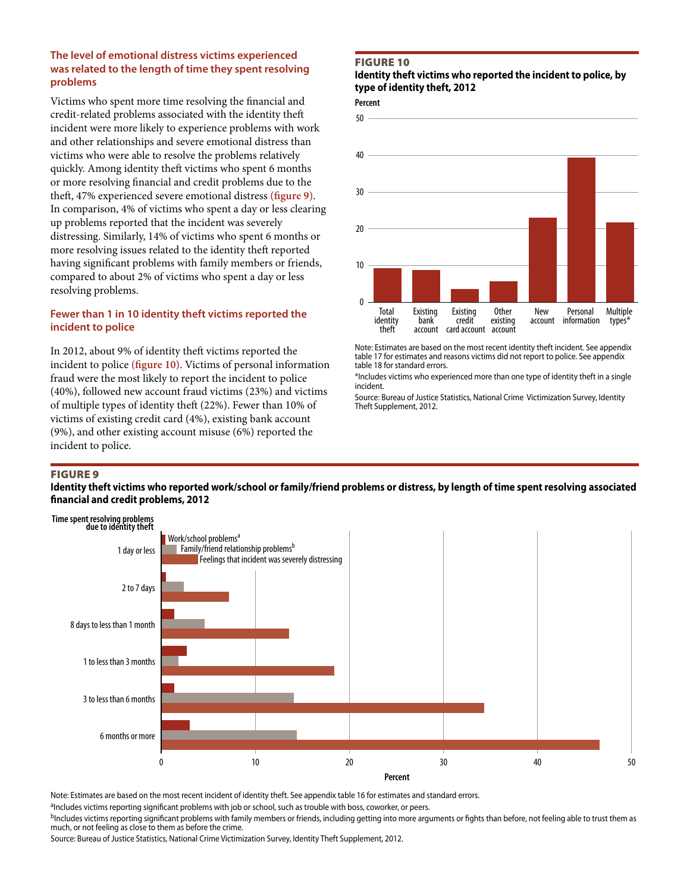## **The level of emotional distress victims experienced was related to the length of time they spent resolving problems**

Victims who spent more time resolving the financial and credit-related problems associated with the identity theft incident were more likely to experience problems with work and other relationships and severe emotional distress than victims who were able to resolve the problems relatively quickly. Among identity theft victims who spent 6 months or more resolving financial and credit problems due to the theft, 47% experienced severe emotional distress **(figure 9)**. In comparison, 4% of victims who spent a day or less clearing up problems reported that the incident was severely distressing. Similarly, 14% of victims who spent 6 months or more resolving issues related to the identity theft reported having significant problems with family members or friends, compared to about 2% of victims who spent a day or less resolving problems.

## **Fewer than 1 in 10 identity theft victims reported the incident to police**

In 2012, about 9% of identity theft victims reported the incident to police **(figure 10)**. Victims of personal information fraud were the most likely to report the incident to police (40%), followed new account fraud victims (23%) and victims of multiple types of identity theft (22%). Fewer than 10% of victims of existing credit card (4%), existing bank account (9%), and other existing account misuse (6%) reported the incident to police.

## Figure 10

## **Identity theft victims who reported the incident to police, by type of identity theft, 2012**

**Percent** 



Note: Estimates are based on the most recent identity theft incident. See appendix table 17 for estimates and reasons victims did not report to police. See appendix table 18 for standard errors.

\*Includes victims who experienced more than one type of identity theft in a single incident.

Source: Bureau of Justice Statistics, National Crime Victimization Survey, Identity Theft Supplement, 2012.

## Figure 9

## **Identity theft victims who reported work/school or family/friend problems or distress, by length of time spent resolving associated financial and credit problems, 2012**



Note: Estimates are based on the most recent incident of identity theft. See appendix table 16 for estimates and standard errors.

aIncludes victims reporting significant problems with job or school, such as trouble with boss, coworker, or peers.

<sup>b</sup>Includes victims reporting significant problems with family members or friends, including getting into more arguments or fights than before, not feeling able to trust them as much, or not feeling as close to them as before the crime.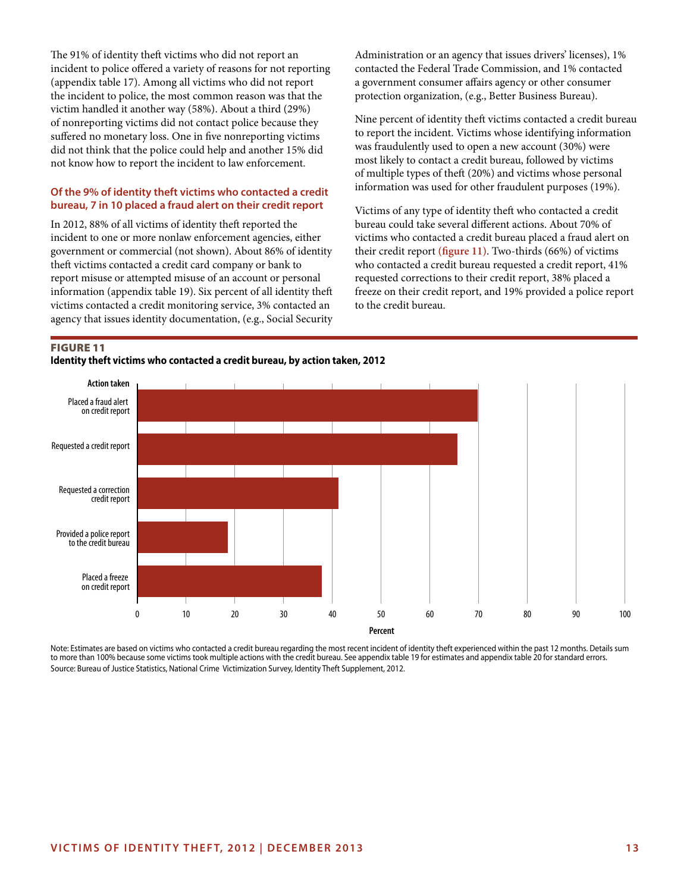The 91% of identity theft victims who did not report an incident to police offered a variety of reasons for not reporting (appendix table 17). Among all victims who did not report the incident to police, the most common reason was that the victim handled it another way (58%). About a third (29%) of nonreporting victims did not contact police because they suffered no monetary loss. One in five nonreporting victims did not think that the police could help and another 15% did not know how to report the incident to law enforcement.

## **Of the 9% of identity theft victims who contacted a credit bureau, 7 in 10 placed a fraud alert on their credit report**

In 2012, 88% of all victims of identity theft reported the incident to one or more nonlaw enforcement agencies, either government or commercial (not shown). About 86% of identity theft victims contacted a credit card company or bank to report misuse or attempted misuse of an account or personal information (appendix table 19). Six percent of all identity theft victims contacted a credit monitoring service, 3% contacted an agency that issues identity documentation, (e.g., Social Security Administration or an agency that issues drivers' licenses), 1% contacted the Federal Trade Commission, and 1% contacted a government consumer affairs agency or other consumer protection organization, (e.g., Better Business Bureau).

Nine percent of identity theft victims contacted a credit bureau to report the incident. Victims whose identifying information was fraudulently used to open a new account (30%) were most likely to contact a credit bureau, followed by victims of multiple types of theft (20%) and victims whose personal information was used for other fraudulent purposes (19%).

Victims of any type of identity theft who contacted a credit bureau could take several different actions. About 70% of victims who contacted a credit bureau placed a fraud alert on their credit report **(figure 11)**. Two-thirds (66%) of victims who contacted a credit bureau requested a credit report, 41% requested corrections to their credit report, 38% placed a freeze on their credit report, and 19% provided a police report to the credit bureau.

## Figure 11





Note: Estimates are based on victims who contacted a credit bureau regarding the most recent incident of identity theft experienced within the past 12 months. Details sum to more than 100% because some victims took multiple actions with the credit bureau. See appendix table 19 for estimates and appendix table 20 for standard errors. Source: Bureau of Justice Statistics, National Crime Victimization Survey, Identity Theft Supplement, 2012.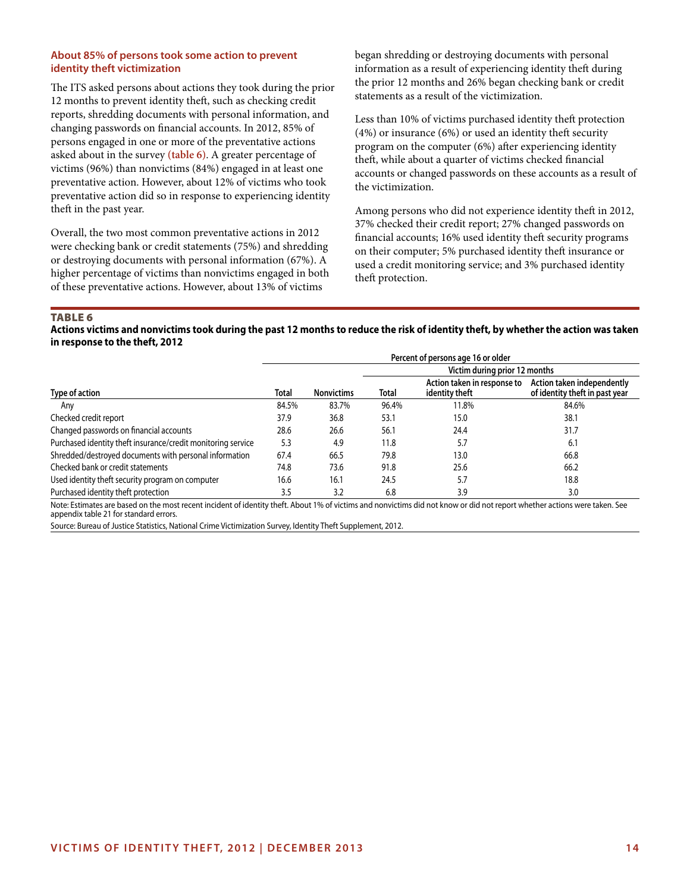## **About 85% of persons took some action to prevent identity theft victimization**

The ITS asked persons about actions they took during the prior 12 months to prevent identity theft, such as checking credit reports, shredding documents with personal information, and changing passwords on financial accounts. In 2012, 85% of persons engaged in one or more of the preventative actions asked about in the survey **(table 6)**. A greater percentage of victims (96%) than nonvictims (84%) engaged in at least one preventative action. However, about 12% of victims who took preventative action did so in response to experiencing identity theft in the past year.

Overall, the two most common preventative actions in 2012 were checking bank or credit statements (75%) and shredding or destroying documents with personal information (67%). A higher percentage of victims than nonvictims engaged in both of these preventative actions. However, about 13% of victims

began shredding or destroying documents with personal information as a result of experiencing identity theft during the prior 12 months and 26% began checking bank or credit statements as a result of the victimization.

Less than 10% of victims purchased identity theft protection (4%) or insurance (6%) or used an identity theft security program on the computer (6%) after experiencing identity theft, while about a quarter of victims checked financial accounts or changed passwords on these accounts as a result of the victimization.

Among persons who did not experience identity theft in 2012, 37% checked their credit report; 27% changed passwords on financial accounts; 16% used identity theft security programs on their computer; 5% purchased identity theft insurance or used a credit monitoring service; and 3% purchased identity theft protection.

#### TABLE<sub>6</sub>

## **Actions victims and nonvictims took during the past 12 months to reduce the risk of identity theft, by whether the action was taken in response to the theft, 2012**

|                                                              | Percent of persons age 16 or older |                   |       |                                               |                                                              |  |  |
|--------------------------------------------------------------|------------------------------------|-------------------|-------|-----------------------------------------------|--------------------------------------------------------------|--|--|
|                                                              |                                    |                   |       | Victim during prior 12 months                 |                                                              |  |  |
| Type of action                                               | Total                              | <b>Nonvictims</b> | Total | Action taken in response to<br>identity theft | Action taken independently<br>of identity theft in past year |  |  |
| Anv                                                          | 84.5%                              | 83.7%             | 96.4% | 11.8%                                         | 84.6%                                                        |  |  |
| Checked credit report                                        | 37.9                               | 36.8              | 53.1  | 15.0                                          | 38.1                                                         |  |  |
| Changed passwords on financial accounts                      | 28.6                               | 26.6              | 56.1  | 24.4                                          | 31.7                                                         |  |  |
| Purchased identity theft insurance/credit monitoring service | 5.3                                | 4.9               | 11.8  | 5.7                                           | 6.1                                                          |  |  |
| Shredded/destroyed documents with personal information       | 67.4                               | 66.5              | 79.8  | 13.0                                          | 66.8                                                         |  |  |
| Checked bank or credit statements                            | 74.8                               | 73.6              | 91.8  | 25.6                                          | 66.2                                                         |  |  |
| Used identity theft security program on computer             | 16.6                               | 16.1              | 24.5  | 5.7                                           | 18.8                                                         |  |  |
| Purchased identity theft protection                          | 3.5                                | 3.2               | 6.8   | 3.9                                           | 3.0                                                          |  |  |

Note: Estimates are based on the most recent incident of identity theft. About 1% of victims and nonvictims did not know or did not report whether actions were taken. See appendix table 21 for standard errors.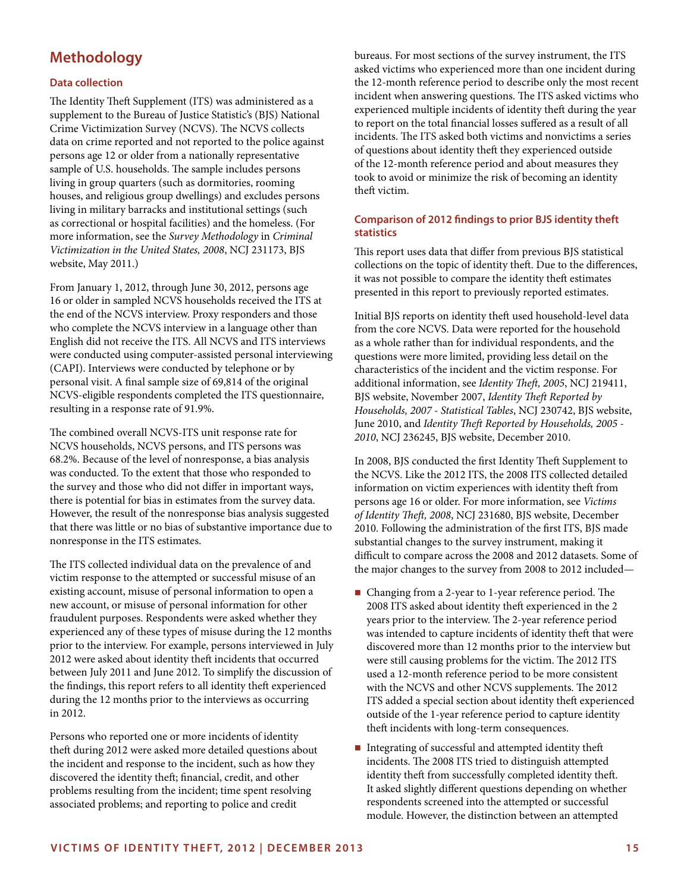## **Methodology**

## **Data collection**

The Identity Theft Supplement (ITS) was administered as a supplement to the Bureau of Justice Statistic's (BJS) National Crime Victimization Survey (NCVS). The NCVS collects data on crime reported and not reported to the police against persons age 12 or older from a nationally representative sample of U.S. households. The sample includes persons living in group quarters (such as dormitories, rooming houses, and religious group dwellings) and excludes persons living in military barracks and institutional settings (such as correctional or hospital facilities) and the homeless. (For more information, see the *Survey Methodology* in *Criminal Victimization in the United States, 2008*, NCJ 231173, BJS website, May 2011.)

From January 1, 2012, through June 30, 2012, persons age 16 or older in sampled NCVS households received the ITS at the end of the NCVS interview. Proxy responders and those who complete the NCVS interview in a language other than English did not receive the ITS. All NCVS and ITS interviews were conducted using computer-assisted personal interviewing (CAPI). Interviews were conducted by telephone or by personal visit. A final sample size of 69,814 of the original NCVS-eligible respondents completed the ITS questionnaire, resulting in a response rate of 91.9%.

The combined overall NCVS-ITS unit response rate for NCVS households, NCVS persons, and ITS persons was 68.2%. Because of the level of nonresponse, a bias analysis was conducted. To the extent that those who responded to the survey and those who did not differ in important ways, there is potential for bias in estimates from the survey data. However, the result of the nonresponse bias analysis suggested that there was little or no bias of substantive importance due to nonresponse in the ITS estimates.

The ITS collected individual data on the prevalence of and victim response to the attempted or successful misuse of an existing account, misuse of personal information to open a new account, or misuse of personal information for other fraudulent purposes. Respondents were asked whether they experienced any of these types of misuse during the 12 months prior to the interview. For example, persons interviewed in July 2012 were asked about identity theft incidents that occurred between July 2011 and June 2012. To simplify the discussion of the findings, this report refers to all identity theft experienced during the 12 months prior to the interviews as occurring in 2012.

Persons who reported one or more incidents of identity theft during 2012 were asked more detailed questions about the incident and response to the incident, such as how they discovered the identity theft; financial, credit, and other problems resulting from the incident; time spent resolving associated problems; and reporting to police and credit

bureaus. For most sections of the survey instrument, the ITS asked victims who experienced more than one incident during the 12-month reference period to describe only the most recent incident when answering questions. The ITS asked victims who experienced multiple incidents of identity theft during the year to report on the total financial losses suffered as a result of all incidents. The ITS asked both victims and nonvictims a series of questions about identity theft they experienced outside of the 12-month reference period and about measures they took to avoid or minimize the risk of becoming an identity theft victim.

## **Comparison of 2012 findings to prior BJS identity theft statistics**

This report uses data that differ from previous BJS statistical collections on the topic of identity theft. Due to the differences, it was not possible to compare the identity theft estimates presented in this report to previously reported estimates.

Initial BJS reports on identity theft used household-level data from the core NCVS. Data were reported for the household as a whole rather than for individual respondents, and the questions were more limited, providing less detail on the characteristics of the incident and the victim response. For additional information, see *Identity Theft, 2005*, NCJ 219411, BJS website, November 2007, *Identity Theft Reported by Households, 2007 - Statistical Tables*, NCJ 230742, BJS website, June 2010, and *Identity Theft Reported by Households, 2005 - 2010*, NCJ 236245, BJS website, December 2010.

In 2008, BJS conducted the first Identity Theft Supplement to the NCVS. Like the 2012 ITS, the 2008 ITS collected detailed information on victim experiences with identity theft from persons age 16 or older. For more information, see *Victims of Identity Theft, 2008*, NCJ 231680, BJS website, December 2010. Following the administration of the first ITS, BJS made substantial changes to the survey instrument, making it difficult to compare across the 2008 and 2012 datasets. Some of the major changes to the survey from 2008 to 2012 included—

- Changing from a 2-year to 1-year reference period. The 2008 ITS asked about identity theft experienced in the 2 years prior to the interview. The 2-year reference period was intended to capture incidents of identity theft that were discovered more than 12 months prior to the interview but were still causing problems for the victim. The 2012 ITS used a 12-month reference period to be more consistent with the NCVS and other NCVS supplements. The 2012 ITS added a special section about identity theft experienced outside of the 1-year reference period to capture identity theft incidents with long-term consequences.
- Integrating of successful and attempted identity theft incidents. The 2008 ITS tried to distinguish attempted identity theft from successfully completed identity theft. It asked slightly different questions depending on whether respondents screened into the attempted or successful module. However, the distinction between an attempted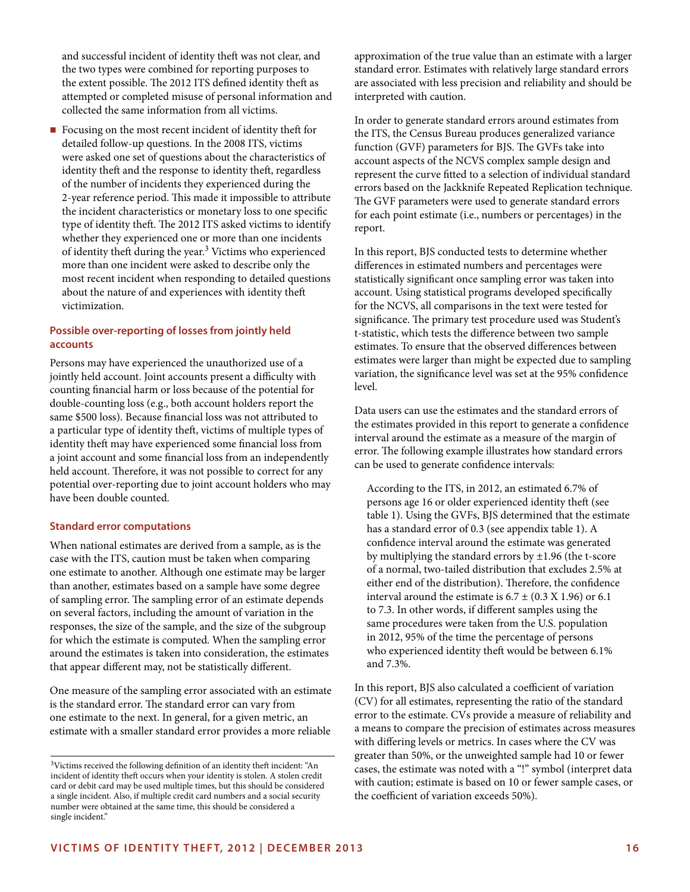and successful incident of identity theft was not clear, and the two types were combined for reporting purposes to the extent possible. The 2012 ITS defined identity theft as attempted or completed misuse of personal information and collected the same information from all victims.

Focusing on the most recent incident of identity theft for detailed follow-up questions. In the 2008 ITS, victims were asked one set of questions about the characteristics of identity theft and the response to identity theft, regardless of the number of incidents they experienced during the 2-year reference period. This made it impossible to attribute the incident characteristics or monetary loss to one specific type of identity theft. The 2012 ITS asked victims to identify whether they experienced one or more than one incidents of identity theft during the year.3 Victims who experienced more than one incident were asked to describe only the most recent incident when responding to detailed questions about the nature of and experiences with identity theft victimization.

## **Possible over-reporting of losses from jointly held accounts**

Persons may have experienced the unauthorized use of a jointly held account. Joint accounts present a difficulty with counting financial harm or loss because of the potential for double-counting loss (e.g., both account holders report the same \$500 loss). Because financial loss was not attributed to a particular type of identity theft, victims of multiple types of identity theft may have experienced some financial loss from a joint account and some financial loss from an independently held account. Therefore, it was not possible to correct for any potential over-reporting due to joint account holders who may have been double counted.

## **Standard error computations**

When national estimates are derived from a sample, as is the case with the ITS, caution must be taken when comparing one estimate to another. Although one estimate may be larger than another, estimates based on a sample have some degree of sampling error. The sampling error of an estimate depends on several factors, including the amount of variation in the responses, the size of the sample, and the size of the subgroup for which the estimate is computed. When the sampling error around the estimates is taken into consideration, the estimates that appear different may, not be statistically different.

One measure of the sampling error associated with an estimate is the standard error. The standard error can vary from one estimate to the next. In general, for a given metric, an estimate with a smaller standard error provides a more reliable

approximation of the true value than an estimate with a larger standard error. Estimates with relatively large standard errors are associated with less precision and reliability and should be interpreted with caution.

In order to generate standard errors around estimates from the ITS, the Census Bureau produces generalized variance function (GVF) parameters for BJS. The GVFs take into account aspects of the NCVS complex sample design and represent the curve fitted to a selection of individual standard errors based on the Jackknife Repeated Replication technique. The GVF parameters were used to generate standard errors for each point estimate (i.e., numbers or percentages) in the report.

In this report, BJS conducted tests to determine whether differences in estimated numbers and percentages were statistically significant once sampling error was taken into account. Using statistical programs developed specifically for the NCVS, all comparisons in the text were tested for significance. The primary test procedure used was Student's t-statistic, which tests the difference between two sample estimates. To ensure that the observed differences between estimates were larger than might be expected due to sampling variation, the significance level was set at the 95% confidence level.

Data users can use the estimates and the standard errors of the estimates provided in this report to generate a confidence interval around the estimate as a measure of the margin of error. The following example illustrates how standard errors can be used to generate confidence intervals:

According to the ITS, in 2012, an estimated 6.7% of persons age 16 or older experienced identity theft (see table 1). Using the GVFs, BJS determined that the estimate has a standard error of 0.3 (see appendix table 1). A confidence interval around the estimate was generated by multiplying the standard errors by ±1.96 (the t-score of a normal, two-tailed distribution that excludes 2.5% at either end of the distribution). Therefore, the confidence interval around the estimate is  $6.7 \pm (0.3 \text{ X } 1.96)$  or 6.1 to 7.3. In other words, if different samples using the same procedures were taken from the U.S. population in 2012, 95% of the time the percentage of persons who experienced identity theft would be between 6.1% and 7.3%.

In this report, BJS also calculated a coefficient of variation (CV) for all estimates, representing the ratio of the standard error to the estimate. CVs provide a measure of reliability and a means to compare the precision of estimates across measures with differing levels or metrics. In cases where the CV was greater than 50%, or the unweighted sample had 10 or fewer cases, the estimate was noted with a "!" symbol (interpret data with caution; estimate is based on 10 or fewer sample cases, or the coefficient of variation exceeds 50%).

<sup>3</sup>Victims received the following definition of an identity theft incident: "An incident of identity theft occurs when your identity is stolen. A stolen credit card or debit card may be used multiple times, but this should be considered a single incident. Also, if multiple credit card numbers and a social security number were obtained at the same time, this should be considered a single incident."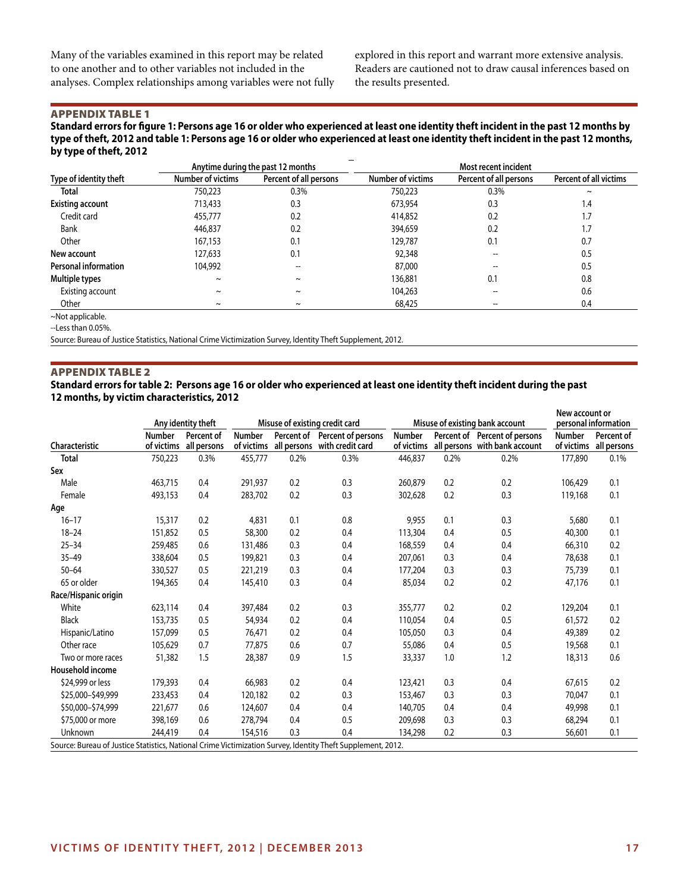Many of the variables examined in this report may be related to one another and to other variables not included in the analyses. Complex relationships among variables were not fully explored in this report and warrant more extensive analysis. Readers are cautioned not to draw causal inferences based on the results presented.

## Appendix Table 1

**Standard errors for figure 1: Persons age 16 or older who experienced at least one identity theft incident in the past 12 months by type of theft, 2012 and table 1: Persons age 16 or older who experienced at least one identity theft incident in the past 12 months, by type of theft, 2012**

|                             |                          | Anytime during the past 12 months |                          | Most recent incident   |                               |
|-----------------------------|--------------------------|-----------------------------------|--------------------------|------------------------|-------------------------------|
| Type of identity theft      | <b>Number of victims</b> | Percent of all persons            | <b>Number of victims</b> | Percent of all persons | <b>Percent of all victims</b> |
| Total                       | 750,223                  | 0.3%                              | 750,223                  | 0.3%                   | $\tilde{\phantom{a}}$         |
| <b>Existing account</b>     | 713,433                  | 0.3                               | 673,954                  | 0.3                    | 1.4                           |
| Credit card                 | 455,777                  | 0.2                               | 414,852                  | 0.2                    | 1.7                           |
| Bank                        | 446,837                  | 0.2                               | 394,659                  | 0.2                    | 1.7                           |
| Other                       | 167,153                  | 0.1                               | 129,787                  | 0.1                    | 0.7                           |
| New account                 | 127,633                  | 0.1                               | 92,348                   |                        | 0.5                           |
| <b>Personal information</b> | 104,992                  |                                   | 87,000                   |                        | 0.5                           |
| Multiple types              | $\sim$                   | $\tilde{}$                        | 136,881                  | 0.1                    | 0.8                           |
| Existing account            | $\sim$                   | $\sim$                            | 104,263                  |                        | 0.6                           |
| Other                       | $\sim$                   | $\tilde{\phantom{a}}$             | 68,425                   |                        | 0.4                           |

~Not applicable.

--Less than 0.05%.

Source: Bureau of Justice Statistics, National Crime Victimization Survey, Identity Theft Supplement, 2012.

## Appendix Table 2

**Standard errors for table 2: Persons age 16 or older who experienced at least one identity theft incident during the past 12 months, by victim characteristics, 2012**

|                                                                                                             |                             | Any identity theft        |                             |      | Misuse of existing credit card                                |                             |      | Misuse of existing bank account                                | New account or              | personal information      |
|-------------------------------------------------------------------------------------------------------------|-----------------------------|---------------------------|-----------------------------|------|---------------------------------------------------------------|-----------------------------|------|----------------------------------------------------------------|-----------------------------|---------------------------|
| Characteristic                                                                                              | <b>Number</b><br>of victims | Percent of<br>all persons | <b>Number</b><br>of victims |      | Percent of Percent of persons<br>all persons with credit card | <b>Number</b><br>of victims |      | Percent of Percent of persons<br>all persons with bank account | <b>Number</b><br>of victims | Percent of<br>all persons |
| <b>Total</b>                                                                                                | 750,223                     | 0.3%                      | 455,777                     | 0.2% | 0.3%                                                          | 446,837                     | 0.2% | 0.2%                                                           | 177,890                     | 0.1%                      |
| Sex                                                                                                         |                             |                           |                             |      |                                                               |                             |      |                                                                |                             |                           |
| Male                                                                                                        | 463,715                     | 0.4                       | 291,937                     | 0.2  | 0.3                                                           | 260,879                     | 0.2  | 0.2                                                            | 106.429                     | 0.1                       |
| Female                                                                                                      | 493,153                     | 0.4                       | 283,702                     | 0.2  | 0.3                                                           | 302,628                     | 0.2  | 0.3                                                            | 119,168                     | 0.1                       |
| Age                                                                                                         |                             |                           |                             |      |                                                               |                             |      |                                                                |                             |                           |
| $16 - 17$                                                                                                   | 15,317                      | 0.2                       | 4,831                       | 0.1  | 0.8                                                           | 9,955                       | 0.1  | 0.3                                                            | 5,680                       | 0.1                       |
| $18 - 24$                                                                                                   | 151,852                     | 0.5                       | 58,300                      | 0.2  | 0.4                                                           | 113,304                     | 0.4  | 0.5                                                            | 40,300                      | 0.1                       |
| $25 - 34$                                                                                                   | 259,485                     | 0.6                       | 131,486                     | 0.3  | 0.4                                                           | 168,559                     | 0.4  | 0.4                                                            | 66,310                      | 0.2                       |
| $35 - 49$                                                                                                   | 338,604                     | 0.5                       | 199,821                     | 0.3  | 0.4                                                           | 207,061                     | 0.3  | 0.4                                                            | 78,638                      | 0.1                       |
| $50 - 64$                                                                                                   | 330,527                     | 0.5                       | 221,219                     | 0.3  | 0.4                                                           | 177,204                     | 0.3  | 0.3                                                            | 75,739                      | 0.1                       |
| 65 or older                                                                                                 | 194,365                     | 0.4                       | 145,410                     | 0.3  | 0.4                                                           | 85,034                      | 0.2  | 0.2                                                            | 47,176                      | 0.1                       |
| Race/Hispanic origin                                                                                        |                             |                           |                             |      |                                                               |                             |      |                                                                |                             |                           |
| White                                                                                                       | 623,114                     | 0.4                       | 397,484                     | 0.2  | 0.3                                                           | 355,777                     | 0.2  | 0.2                                                            | 129,204                     | 0.1                       |
| <b>Black</b>                                                                                                | 153,735                     | 0.5                       | 54,934                      | 0.2  | 0.4                                                           | 110.054                     | 0.4  | 0.5                                                            | 61,572                      | 0.2                       |
| Hispanic/Latino                                                                                             | 157,099                     | 0.5                       | 76,471                      | 0.2  | 0.4                                                           | 105,050                     | 0.3  | 0.4                                                            | 49,389                      | 0.2                       |
| Other race                                                                                                  | 105,629                     | 0.7                       | 77,875                      | 0.6  | 0.7                                                           | 55,086                      | 0.4  | 0.5                                                            | 19,568                      | 0.1                       |
| Two or more races                                                                                           | 51,382                      | 1.5                       | 28,387                      | 0.9  | 1.5                                                           | 33,337                      | 1.0  | 1.2                                                            | 18,313                      | 0.6                       |
| Household income                                                                                            |                             |                           |                             |      |                                                               |                             |      |                                                                |                             |                           |
| \$24,999 or less                                                                                            | 179,393                     | 0.4                       | 66,983                      | 0.2  | 0.4                                                           | 123,421                     | 0.3  | 0.4                                                            | 67,615                      | 0.2                       |
| \$25,000-\$49,999                                                                                           | 233,453                     | 0.4                       | 120,182                     | 0.2  | 0.3                                                           | 153,467                     | 0.3  | 0.3                                                            | 70,047                      | 0.1                       |
| \$50,000-\$74,999                                                                                           | 221,677                     | 0.6                       | 124,607                     | 0.4  | 0.4                                                           | 140.705                     | 0.4  | 0.4                                                            | 49,998                      | 0.1                       |
| \$75,000 or more                                                                                            | 398,169                     | 0.6                       | 278,794                     | 0.4  | 0.5                                                           | 209,698                     | 0.3  | 0.3                                                            | 68,294                      | 0.1                       |
| Unknown                                                                                                     | 244,419                     | 0.4                       | 154,516                     | 0.3  | 0.4                                                           | 134,298                     | 0.2  | 0.3                                                            | 56,601                      | 0.1                       |
| Source: Bureau of Justice Statistics, National Crime Victimization Survey, Identity Theft Supplement, 2012. |                             |                           |                             |      |                                                               |                             |      |                                                                |                             |                           |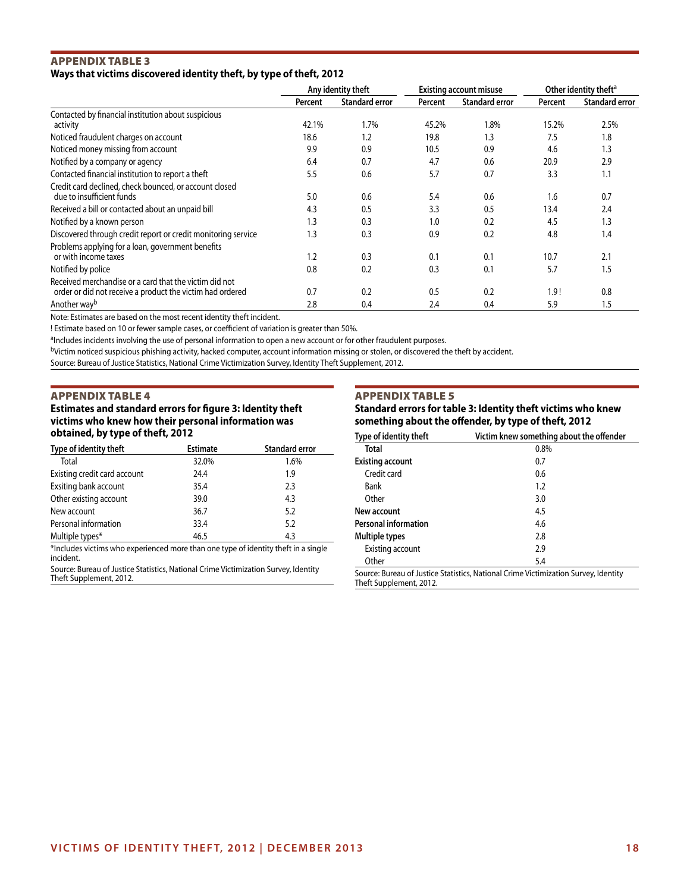## Appendix Table 3 **Ways that victims discovered identity theft, by type of theft, 2012**

|                                                               | Any identity theft |                       | <b>Existing account misuse</b> |                       | Other identity theft <sup>a</sup> |                       |
|---------------------------------------------------------------|--------------------|-----------------------|--------------------------------|-----------------------|-----------------------------------|-----------------------|
|                                                               | Percent            | <b>Standard error</b> | Percent                        | <b>Standard error</b> | Percent                           | <b>Standard error</b> |
| Contacted by financial institution about suspicious           |                    |                       |                                |                       |                                   |                       |
| activity                                                      | 42.1%              | 1.7%                  | 45.2%                          | 1.8%                  | 15.2%                             | 2.5%                  |
| Noticed fraudulent charges on account                         | 18.6               | 1.2                   | 19.8                           | 1.3                   | 7.5                               | 1.8                   |
| Noticed money missing from account                            | 9.9                | 0.9                   | 10.5                           | 0.9                   | 4.6                               | 1.3                   |
| Notified by a company or agency                               | 6.4                | 0.7                   | 4.7                            | 0.6                   | 20.9                              | 2.9                   |
| Contacted financial institution to report a theft             | 5.5                | 0.6                   | 5.7                            | 0.7                   | 3.3                               | 1.1                   |
| Credit card declined, check bounced, or account closed        |                    |                       |                                |                       |                                   |                       |
| due to insufficient funds                                     | 5.0                | 0.6                   | 5.4                            | 0.6                   | 1.6                               | 0.7                   |
| Received a bill or contacted about an unpaid bill             | 4.3                | 0.5                   | 3.3                            | 0.5                   | 13.4                              | 2.4                   |
| Notified by a known person                                    | 1.3                | 0.3                   | 1.0                            | 0.2                   | 4.5                               | 1.3                   |
| Discovered through credit report or credit monitoring service | 1.3                | 0.3                   | 0.9                            | 0.2                   | 4.8                               | 1.4                   |
| Problems applying for a loan, government benefits             |                    |                       |                                |                       |                                   |                       |
| or with income taxes                                          | 1.2                | 0.3                   | 0.1                            | 0.1                   | 10.7                              | 2.1                   |
| Notified by police                                            | 0.8                | 0.2                   | 0.3                            | 0.1                   | 5.7                               | 1.5                   |
| Received merchandise or a card that the victim did not        |                    |                       |                                |                       |                                   |                       |
| order or did not receive a product the victim had ordered     | 0.7                | 0.2                   | 0.5                            | 0.2                   | 1.9!                              | 0.8                   |
| Another way <sup>b</sup>                                      | 2.8                | 0.4                   | 2.4                            | 0.4                   | 5.9                               | 1.5                   |

Note: Estimates are based on the most recent identity theft incident.

! Estimate based on 10 or fewer sample cases, or coefficient of variation is greater than 50%.

aIncludes incidents involving the use of personal information to open a new account or for other fraudulent purposes.

bVictim noticed suspicious phishing activity, hacked computer, account information missing or stolen, or discovered the theft by accident.

Source: Bureau of Justice Statistics, National Crime Victimization Survey, Identity Theft Supplement, 2012.

#### Appendix Table 4

**Estimates and standard errors for figure 3: Identity theft victims who knew how their personal information was obtained, by type of theft, 2012**

| Type of identity theft       | <b>Estimate</b> | <b>Standard error</b> |
|------------------------------|-----------------|-----------------------|
| Total                        | 32.0%           | 1.6%                  |
| Existing credit card account | 24.4            | 1.9                   |
| Exsiting bank account        | 35.4            | 2.3                   |
| Other existing account       | 39.0            | 4.3                   |
| New account                  | 36.7            | 5.2                   |
| Personal information         | 33.4            | 5.2                   |
| Multiple types*              | 46.5            | 4.3                   |

\*Includes victims who experienced more than one type of identity theft in a single incident.

Source: Bureau of Justice Statistics, National Crime Victimization Survey, Identity Theft Supplement, 2012.

## Appendix Table 5

**Standard errors for table 3: Identity theft victims who knew something about the offender, by type of theft, 2012**

| Type of identity theft      | Victim knew something about the offender                                            |
|-----------------------------|-------------------------------------------------------------------------------------|
| Total                       | 0.8%                                                                                |
| <b>Existing account</b>     | 0.7                                                                                 |
| Credit card                 | 0.6                                                                                 |
| Bank                        | 1.2                                                                                 |
| Other                       | 3.0                                                                                 |
| New account                 | 4.5                                                                                 |
| <b>Personal information</b> | 4.6                                                                                 |
| Multiple types              | 2.8                                                                                 |
| Existing account            | 2.9                                                                                 |
| Other                       | 5.4                                                                                 |
|                             | Source: Bureau of Justice Statistics, National Crime Victimization Survey, Identity |

Theft Supplement, 2012.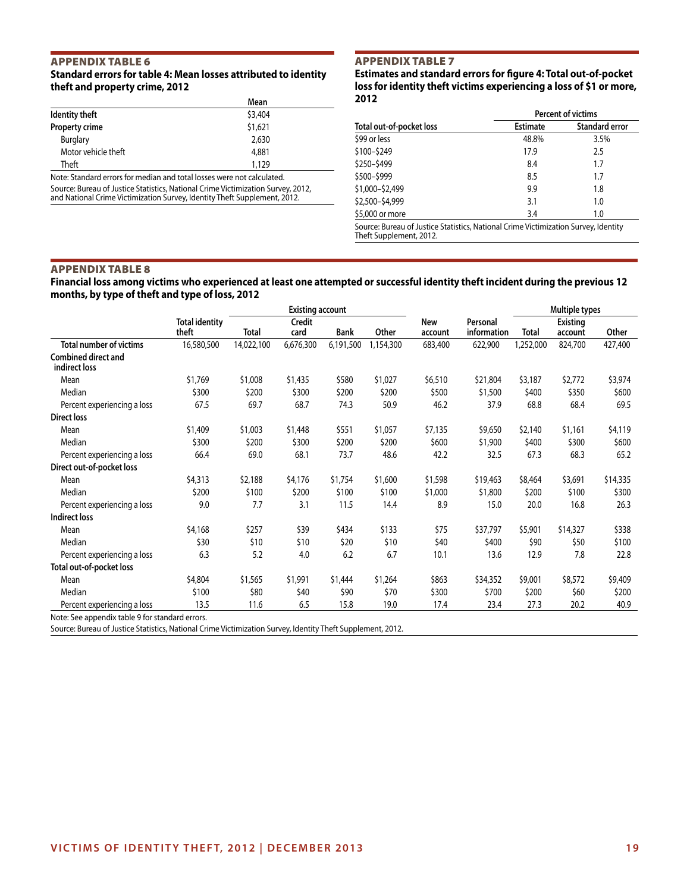## Appendix Table 6 **Standard errors for table 4: Mean losses attributed to identity theft and property crime, 2012**

|                                                                       | Mean    |
|-----------------------------------------------------------------------|---------|
| Identity theft                                                        | \$3,404 |
| Property crime                                                        | \$1,621 |
| Burglary                                                              | 2,630   |
| Motor vehicle theft                                                   | 4,881   |
| Theft                                                                 | 1.129   |
| Note: Standard errors for modian and total losses were not calculated |         |

Note: Standard errors for median and total losses were not calculated. Source: Bureau of Justice Statistics, National Crime Victimization Survey, 2012, and National Crime Victimization Survey, Identity Theft Supplement, 2012.

## Appendix Table 7

**Estimates and standard errors for figure 4: Total out-of-pocket loss for identity theft victims experiencing a loss of \$1 or more, 2012**

|                          |                 | Percent of victims    |
|--------------------------|-----------------|-----------------------|
| Total out-of-pocket loss | <b>Estimate</b> | <b>Standard error</b> |
| \$99 or less             | 48.8%           | 3.5%                  |
| \$100-\$249              | 17.9            | 2.5                   |
| \$250-\$499              | 8.4             | 1.7                   |
| \$500-\$999              | 8.5             | 1.7                   |
| \$1,000-\$2,499          | 9.9             | 1.8                   |
| \$2,500-\$4,999          | 3.1             | 1.0                   |
| \$5,000 or more          | 3.4             | 1.0                   |

Source: Bureau of Justice Statistics, National Crime Victimization Survey, Identity Theft Supplement, 2012.

## Appendix Table 8

## **Financial loss among victims who experienced at least one attempted or successful identity theft incident during the previous 12 months, by type of theft and type of loss, 2012**

|                                                                  |                                |            | <b>Existing account</b> |             |           |                |                         |           | Multiple types             |          |
|------------------------------------------------------------------|--------------------------------|------------|-------------------------|-------------|-----------|----------------|-------------------------|-----------|----------------------------|----------|
|                                                                  | <b>Total identity</b><br>theft | Total      | Credit<br>card          | <b>Bank</b> | Other     | New<br>account | Personal<br>information | Total     | <b>Existing</b><br>account | Other    |
| <b>Total number of victims</b>                                   | 16,580,500                     | 14,022,100 | 6,676,300               | 6,191,500   | 1,154,300 | 683,400        | 622,900                 | 1,252,000 | 824,700                    | 427,400  |
| <b>Combined direct and</b><br>indirect loss                      |                                |            |                         |             |           |                |                         |           |                            |          |
| Mean                                                             | \$1,769                        | \$1,008    | \$1,435                 | \$580       | \$1,027   | \$6,510        | \$21,804                | \$3,187   | \$2,772                    | \$3,974  |
| Median                                                           | \$300                          | \$200      | \$300                   | \$200       | \$200     | \$500          | \$1,500                 | \$400     | \$350                      | \$600    |
| Percent experiencing a loss                                      | 67.5                           | 69.7       | 68.7                    | 74.3        | 50.9      | 46.2           | 37.9                    | 68.8      | 68.4                       | 69.5     |
| <b>Direct loss</b>                                               |                                |            |                         |             |           |                |                         |           |                            |          |
| Mean                                                             | \$1,409                        | \$1,003    | \$1,448                 | \$551       | \$1,057   | \$7,135        | \$9,650                 | \$2,140   | \$1,161                    | \$4,119  |
| Median                                                           | \$300                          | \$200      | \$300                   | \$200       | \$200     | \$600          | \$1,900                 | \$400     | \$300                      | \$600    |
| Percent experiencing a loss                                      | 66.4                           | 69.0       | 68.1                    | 73.7        | 48.6      | 42.2           | 32.5                    | 67.3      | 68.3                       | 65.2     |
| Direct out-of-pocket loss                                        |                                |            |                         |             |           |                |                         |           |                            |          |
| Mean                                                             | \$4,313                        | \$2,188    | \$4,176                 | \$1,754     | \$1,600   | \$1,598        | \$19,463                | \$8,464   | \$3,691                    | \$14,335 |
| Median                                                           | \$200                          | \$100      | \$200                   | \$100       | \$100     | \$1,000        | \$1,800                 | \$200     | \$100                      | \$300    |
| Percent experiencing a loss                                      | 9.0                            | 7.7        | 3.1                     | 11.5        | 14.4      | 8.9            | 15.0                    | 20.0      | 16.8                       | 26.3     |
| Indirect loss                                                    |                                |            |                         |             |           |                |                         |           |                            |          |
| Mean                                                             | \$4,168                        | \$257      | \$39                    | \$434       | \$133     | \$75           | \$37,797                | \$5,901   | \$14,327                   | \$338    |
| Median                                                           | \$30                           | \$10       | \$10                    | \$20        | \$10      | \$40           | \$400                   | \$90      | \$50                       | \$100    |
| Percent experiencing a loss                                      | 6.3                            | 5.2        | 4.0                     | 6.2         | 6.7       | 10.1           | 13.6                    | 12.9      | 7.8                        | 22.8     |
| Total out-of-pocket loss                                         |                                |            |                         |             |           |                |                         |           |                            |          |
| Mean                                                             | \$4,804                        | \$1,565    | \$1,991                 | \$1,444     | \$1,264   | \$863          | \$34,352                | \$9,001   | \$8,572                    | \$9,409  |
| Median                                                           | \$100                          | \$80       | \$40                    | \$90        | \$70      | \$300          | \$700                   | \$200     | \$60                       | \$200    |
| Percent experiencing a loss                                      | 13.5                           | 11.6       | 6.5                     | 15.8        | 19.0      | 17.4           | 23.4                    | 27.3      | 20.2                       | 40.9     |
| $\mathbf{M}$ . $\mathbf{C}$ . The set of the set of $\mathbf{M}$ |                                |            |                         |             |           |                |                         |           |                            |          |

Note: See appendix table 9 for standard errors.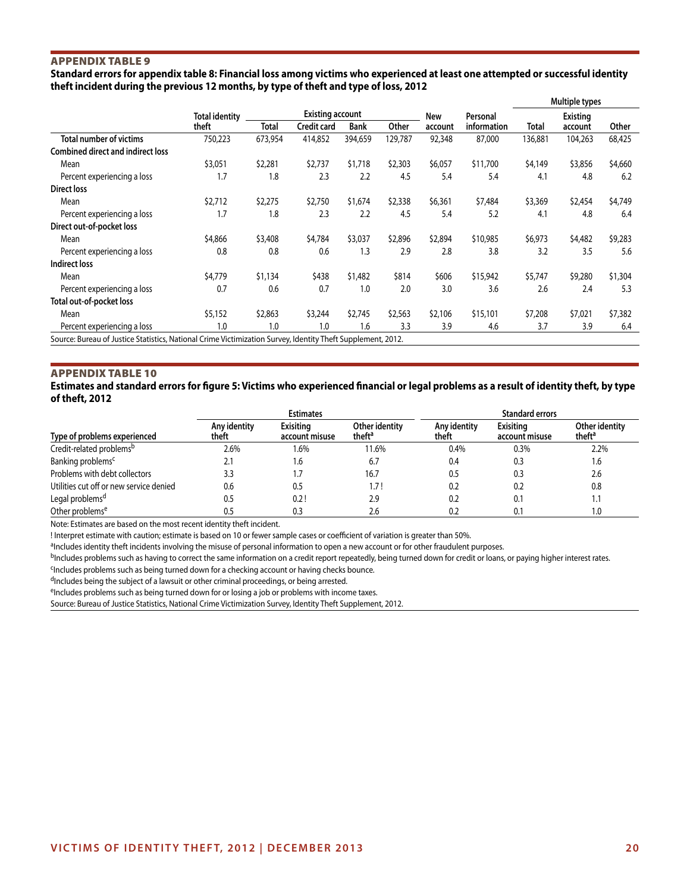## Appendix Table 9

**Standard errors for appendix table 8: Financial loss among victims who experienced at least one attempted or successful identity theft incident during the previous 12 months, by type of theft and type of loss, 2012**

|                                                                                                             |                       |              |                         |             |         |         |             |         | Multiple types |         |
|-------------------------------------------------------------------------------------------------------------|-----------------------|--------------|-------------------------|-------------|---------|---------|-------------|---------|----------------|---------|
|                                                                                                             | <b>Total identity</b> |              | <b>Existing account</b> |             |         | New     | Personal    |         | Existing       |         |
|                                                                                                             | theft                 | <b>Total</b> | Credit card             | <b>Bank</b> | Other   | account | information | Total   | account        | Other   |
| <b>Total number of victims</b>                                                                              | 750,223               | 673,954      | 414,852                 | 394,659     | 129,787 | 92,348  | 87,000      | 136,881 | 104,263        | 68,425  |
| <b>Combined direct and indirect loss</b>                                                                    |                       |              |                         |             |         |         |             |         |                |         |
| Mean                                                                                                        | \$3,051               | \$2,281      | \$2,737                 | \$1,718     | \$2,303 | \$6,057 | \$11,700    | \$4,149 | \$3,856        | \$4,660 |
| Percent experiencing a loss                                                                                 | 1.7                   | 1.8          | 2.3                     | 2.2         | 4.5     | 5.4     | 5.4         | 4.1     | 4.8            | 6.2     |
| Direct loss                                                                                                 |                       |              |                         |             |         |         |             |         |                |         |
| Mean                                                                                                        | \$2,712               | \$2,275      | \$2,750                 | \$1,674     | \$2,338 | \$6,361 | \$7,484     | \$3,369 | \$2,454        | \$4,749 |
| Percent experiencing a loss                                                                                 | 1.7                   | 1.8          | 2.3                     | 2.2         | 4.5     | 5.4     | 5.2         | 4.1     | 4.8            | 6.4     |
| Direct out-of-pocket loss                                                                                   |                       |              |                         |             |         |         |             |         |                |         |
| Mean                                                                                                        | \$4,866               | \$3,408      | \$4,784                 | \$3,037     | \$2,896 | \$2,894 | \$10,985    | \$6,973 | \$4,482        | \$9,283 |
| Percent experiencing a loss                                                                                 | 0.8                   | 0.8          | 0.6                     | 1.3         | 2.9     | 2.8     | 3.8         | 3.2     | 3.5            | 5.6     |
| Indirect loss                                                                                               |                       |              |                         |             |         |         |             |         |                |         |
| Mean                                                                                                        | \$4,779               | \$1,134      | \$438                   | \$1,482     | \$814   | \$606   | \$15,942    | \$5,747 | \$9,280        | \$1,304 |
| Percent experiencing a loss                                                                                 | 0.7                   | 0.6          | 0.7                     | 1.0         | 2.0     | 3.0     | 3.6         | 2.6     | 2.4            | 5.3     |
| Total out-of-pocket loss                                                                                    |                       |              |                         |             |         |         |             |         |                |         |
| Mean                                                                                                        | \$5,152               | \$2,863      | \$3,244                 | \$2,745     | \$2,563 | \$2,106 | \$15,101    | \$7,208 | \$7,021        | \$7,382 |
| Percent experiencing a loss                                                                                 | 1.0                   | 1.0          | 1.0                     | 1.6         | 3.3     | 3.9     | 4.6         | 3.7     | 3.9            | 6.4     |
| Source: Bureau of Justice Statistics, National Crime Victimization Survey, Identity Theft Supplement, 2012. |                       |              |                         |             |         |         |             |         |                |         |

Appendix Table 10

## **Estimates and standard errors for figure 5: Victims who experienced financial or legal problems as a result of identity theft, by type of theft, 2012**

|                                         |                       | <b>Estimates</b>            |                                      |                       | <b>Standard errors</b>             |                                      |
|-----------------------------------------|-----------------------|-----------------------------|--------------------------------------|-----------------------|------------------------------------|--------------------------------------|
| Type of problems experienced            | Any identity<br>theft | Exisitina<br>account misuse | Other identity<br>theft <sup>a</sup> | Any identity<br>theft | <b>Exisiting</b><br>account misuse | Other identity<br>theft <sup>a</sup> |
| Credit-related problems <sup>b</sup>    | 2.6%                  | 1.6%                        | 11.6%                                | 0.4%                  | $0.3\%$                            | 2.2%                                 |
| Banking problems <sup>c</sup>           | 2.1                   | 1.6                         | 6.7                                  | 0.4                   | 0.3                                | 1.6                                  |
| Problems with debt collectors           | 3.3                   |                             | 16.7                                 | 0.5                   | 0.3                                | 2.6                                  |
| Utilities cut off or new service denied | 0.6                   | 0.5                         | 1.7 !                                | 0.2                   | 0.2                                | 0.8                                  |
| Legal problems <sup>d</sup>             | 0.5                   | 0.2!                        | 2.9                                  | 0.2                   | 0.1                                | 1.1                                  |
| Other problems <sup>e</sup>             | 0.5                   | 0.3                         | 2.6                                  |                       | 0.1                                | 0. ا                                 |

Note: Estimates are based on the most recent identity theft incident.

! Interpret estimate with caution; estimate is based on 10 or fewer sample cases or coefficient of variation is greater than 50%.

aIncludes identity theft incidents involving the misuse of personal information to open a new account or for other fraudulent purposes.

bIncludes problems such as having to correct the same information on a credit report repeatedly, being turned down for credit or loans, or paying higher interest rates.

<sup>c</sup>Includes problems such as being turned down for a checking account or having checks bounce.

dIncludes being the subject of a lawsuit or other criminal proceedings, or being arrested.

eIncludes problems such as being turned down for or losing a job or problems with income taxes.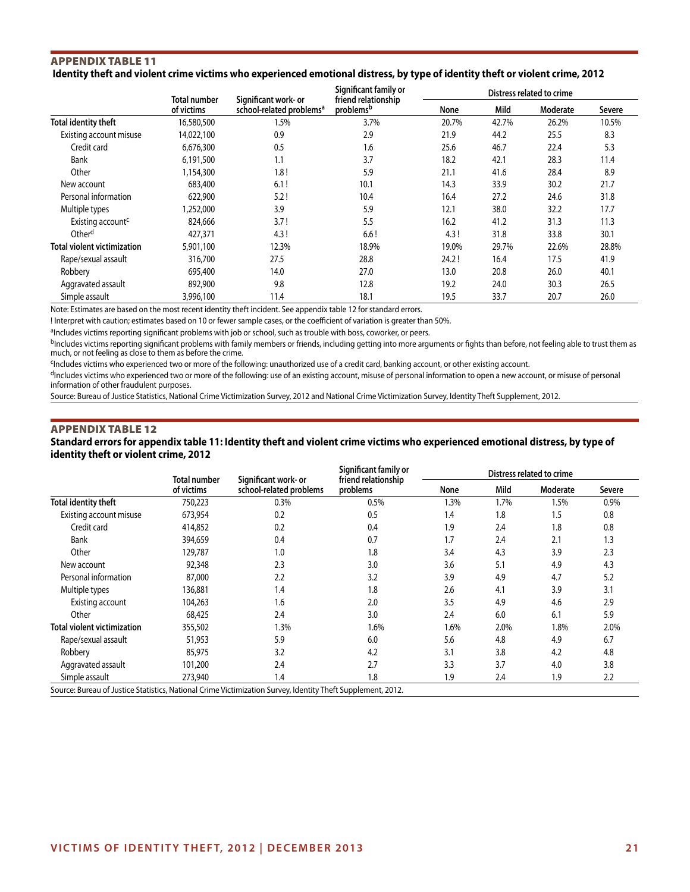## Appendix Table 11  **Identity theft and violent crime victims who experienced emotional distress, by type of identity theft or violent crime, 2012**

|                                    |                            |                                                              | Significant family or                        |       |       | Distress related to crime |        |
|------------------------------------|----------------------------|--------------------------------------------------------------|----------------------------------------------|-------|-------|---------------------------|--------|
|                                    | Total number<br>of victims | Significant work- or<br>school-related problems <sup>a</sup> | friend relationship<br>problems <sup>b</sup> | None  | Mild  | Moderate                  | Severe |
| Total identity theft               | 16,580,500                 | 1.5%                                                         | 3.7%                                         | 20.7% | 42.7% | 26.2%                     | 10.5%  |
| Existing account misuse            | 14,022,100                 | 0.9                                                          | 2.9                                          | 21.9  | 44.2  | 25.5                      | 8.3    |
| Credit card                        | 6,676,300                  | 0.5                                                          | 1.6                                          | 25.6  | 46.7  | 22.4                      | 5.3    |
| <b>Bank</b>                        | 6,191,500                  | 1.1                                                          | 3.7                                          | 18.2  | 42.1  | 28.3                      | 11.4   |
| Other                              | 1,154,300                  | 1.8!                                                         | 5.9                                          | 21.1  | 41.6  | 28.4                      | 8.9    |
| New account                        | 683,400                    | 6.1!                                                         | 10.1                                         | 14.3  | 33.9  | 30.2                      | 21.7   |
| Personal information               | 622,900                    | 5.2!                                                         | 10.4                                         | 16.4  | 27.2  | 24.6                      | 31.8   |
| Multiple types                     | 1,252,000                  | 3.9                                                          | 5.9                                          | 12.1  | 38.0  | 32.2                      | 17.7   |
| Existing account <sup>c</sup>      | 824,666                    | 3.7!                                                         | 5.5                                          | 16.2  | 41.2  | 31.3                      | 11.3   |
| Other <sup>d</sup>                 | 427,371                    | 4.3!                                                         | 6.6!                                         | 4.3!  | 31.8  | 33.8                      | 30.1   |
| <b>Total violent victimization</b> | 5,901,100                  | 12.3%                                                        | 18.9%                                        | 19.0% | 29.7% | 22.6%                     | 28.8%  |
| Rape/sexual assault                | 316,700                    | 27.5                                                         | 28.8                                         | 24.2! | 16.4  | 17.5                      | 41.9   |
| Robbery                            | 695,400                    | 14.0                                                         | 27.0                                         | 13.0  | 20.8  | 26.0                      | 40.1   |
| Aggravated assault                 | 892,900                    | 9.8                                                          | 12.8                                         | 19.2  | 24.0  | 30.3                      | 26.5   |
| Simple assault                     | 3,996,100                  | 11.4                                                         | 18.1                                         | 19.5  | 33.7  | 20.7                      | 26.0   |

Note: Estimates are based on the most recent identity theft incident. See appendix table 12 for standard errors.

! Interpret with caution; estimates based on 10 or fewer sample cases, or the coefficient of variation is greater than 50%.

aIncludes victims reporting significant problems with job or school, such as trouble with boss, coworker, or peers.

<sup>b</sup>Includes victims reporting significant problems with family members or friends, including getting into more arguments or fights than before, not feeling able to trust them as much, or not feeling as close to them as before the crime.

cIncludes victims who experienced two or more of the following: unauthorized use of a credit card, banking account, or other existing account.

dIncludes victims who experienced two or more of the following: use of an existing account, misuse of personal information to open a new account, or misuse of personal information of other fraudulent purposes.

Source: Bureau of Justice Statistics, National Crime Victimization Survey, 2012 and National Crime Victimization Survey, Identity Theft Supplement, 2012.

## Appendix Table 12

**Standard errors for appendix table 11: Identity theft and violent crime victims who experienced emotional distress, by type of identity theft or violent crime, 2012**

|                                                                                                             | Total number | Significant work- or    | Significant family or<br>friend relationship |         |      | Distress related to crime |        |
|-------------------------------------------------------------------------------------------------------------|--------------|-------------------------|----------------------------------------------|---------|------|---------------------------|--------|
|                                                                                                             | of victims   | school-related problems | problems                                     | None    | Mild | Moderate                  | Severe |
| Total identity theft                                                                                        | 750,223      | 0.3%                    | 0.5%                                         | $1.3\%$ | 1.7% | 1.5%                      | 0.9%   |
| Existing account misuse                                                                                     | 673,954      | 0.2                     | 0.5                                          | 1.4     | 1.8  | 1.5                       | 0.8    |
| Credit card                                                                                                 | 414,852      | 0.2                     | 0.4                                          | 1.9     | 2.4  | 1.8                       | 0.8    |
| <b>Bank</b>                                                                                                 | 394,659      | 0.4                     | 0.7                                          | 1.7     | 2.4  | 2.1                       | 1.3    |
| Other                                                                                                       | 129,787      | 1.0                     | 1.8                                          | 3.4     | 4.3  | 3.9                       | 2.3    |
| New account                                                                                                 | 92,348       | 2.3                     | 3.0                                          | 3.6     | 5.1  | 4.9                       | 4.3    |
| Personal information                                                                                        | 87,000       | 2.2                     | 3.2                                          | 3.9     | 4.9  | 4.7                       | 5.2    |
| Multiple types                                                                                              | 136,881      | 1.4                     | 1.8                                          | 2.6     | 4.1  | 3.9                       | 3.1    |
| Existing account                                                                                            | 104,263      | 1.6                     | 2.0                                          | 3.5     | 4.9  | 4.6                       | 2.9    |
| Other                                                                                                       | 68,425       | 2.4                     | 3.0                                          | 2.4     | 6.0  | 6.1                       | 5.9    |
| <b>Total violent victimization</b>                                                                          | 355,502      | $1.3\%$                 | 1.6%                                         | 1.6%    | 2.0% | 1.8%                      | 2.0%   |
| Rape/sexual assault                                                                                         | 51,953       | 5.9                     | 6.0                                          | 5.6     | 4.8  | 4.9                       | 6.7    |
| Robbery                                                                                                     | 85,975       | 3.2                     | 4.2                                          | 3.1     | 3.8  | 4.2                       | 4.8    |
| Aggravated assault                                                                                          | 101,200      | 2.4                     | 2.7                                          | 3.3     | 3.7  | 4.0                       | 3.8    |
| Simple assault                                                                                              | 273,940      | 1.4                     | 1.8                                          | 1.9     | 2.4  | 1.9                       | 2.2    |
| Source: Bureau of Justice Statistics, National Crime Victimization Survey, Identity Theft Supplement, 2012. |              |                         |                                              |         |      |                           |        |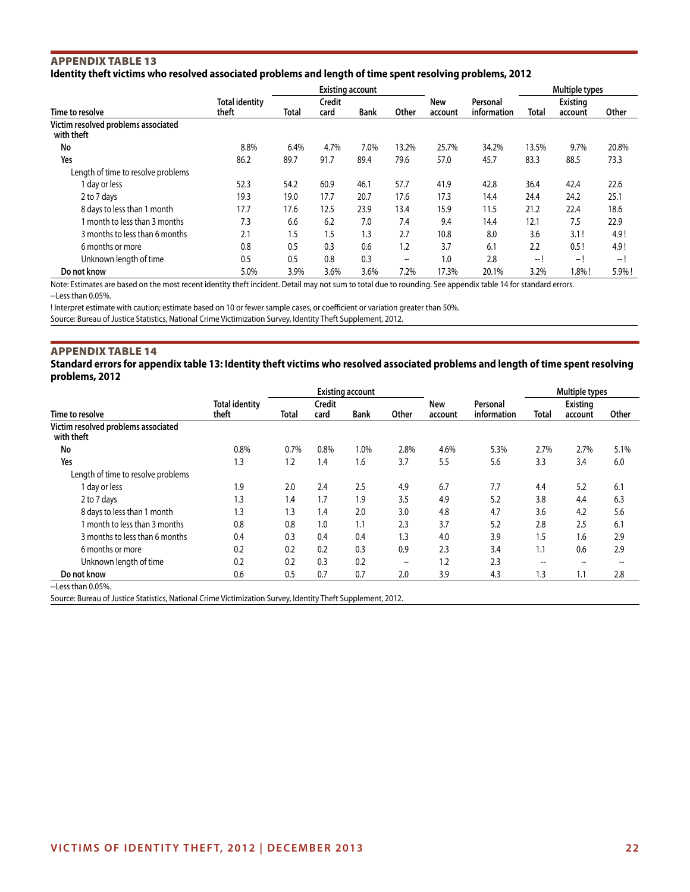## Appendix Table 13 **Identity theft victims who resolved associated problems and length of time spent resolving problems, 2012**

|                                                   |                                |       |                       | <b>Existing account</b> |                                       |                |                         |       | Multiple types             |       |
|---------------------------------------------------|--------------------------------|-------|-----------------------|-------------------------|---------------------------------------|----------------|-------------------------|-------|----------------------------|-------|
| Time to resolve                                   | <b>Total identity</b><br>theft | Total | <b>Credit</b><br>card | <b>Bank</b>             | Other                                 | New<br>account | Personal<br>information | Total | <b>Existing</b><br>account | Other |
| Victim resolved problems associated<br>with theft |                                |       |                       |                         |                                       |                |                         |       |                            |       |
| No                                                | 8.8%                           | 6.4%  | 4.7%                  | 7.0%                    | 13.2%                                 | 25.7%          | 34.2%                   | 13.5% | 9.7%                       | 20.8% |
| Yes                                               | 86.2                           | 89.7  | 91.7                  | 89.4                    | 79.6                                  | 57.0           | 45.7                    | 83.3  | 88.5                       | 73.3  |
| Length of time to resolve problems                |                                |       |                       |                         |                                       |                |                         |       |                            |       |
| day or less                                       | 52.3                           | 54.2  | 60.9                  | 46.1                    | 57.7                                  | 41.9           | 42.8                    | 36.4  | 42.4                       | 22.6  |
| 2 to 7 days                                       | 19.3                           | 19.0  | 17.7                  | 20.7                    | 17.6                                  | 17.3           | 14.4                    | 24.4  | 24.2                       | 25.1  |
| 8 days to less than 1 month                       | 17.7                           | 17.6  | 12.5                  | 23.9                    | 13.4                                  | 15.9           | 11.5                    | 21.2  | 22.4                       | 18.6  |
| month to less than 3 months                       | 7.3                            | 6.6   | 6.2                   | 7.0                     | 7.4                                   | 9.4            | 14.4                    | 12.1  | 7.5                        | 22.9  |
| 3 months to less than 6 months                    | 2.1                            | 1.5   | 1.5                   | 1.3                     | 2.7                                   | 10.8           | 8.0                     | 3.6   | 3.1!                       | 4.9!  |
| 6 months or more                                  | 0.8                            | 0.5   | 0.3                   | 0.6                     | 1.2                                   | 3.7            | 6.1                     | 2.2   | 0.5!                       | 4.9!  |
| Unknown length of time                            | 0.5                            | 0.5   | 0.8                   | 0.3                     | $\hspace{0.05cm}$ – $\hspace{0.05cm}$ | 1.0            | 2.8                     | -- 1  | I                          | $-1$  |
| Do not know                                       | 5.0%                           | 3.9%  | 3.6%                  | 3.6%                    | 7.2%                                  | 17.3%          | 20.1%                   | 3.2%  | $1.8\%$ !                  | 5.9%! |

Note: Estimates are based on the most recent identity theft incident. Detail may not sum to total due to rounding. See appendix table 14 for standard errors. --Less than 0.05%.

! Interpret estimate with caution; estimate based on 10 or fewer sample cases, or coefficient or variation greater than 50%.

Source: Bureau of Justice Statistics, National Crime Victimization Survey, Identity Theft Supplement, 2012.

## Appendix Table 14

## **Standard errors for appendix table 13: Identity theft victims who resolved associated problems and length of time spent resolving problems, 2012**

|                                                   |                       |       |               | <b>Existing account</b> |                          |            |             | Multiple types |                   |       |
|---------------------------------------------------|-----------------------|-------|---------------|-------------------------|--------------------------|------------|-------------|----------------|-------------------|-------|
|                                                   | <b>Total identity</b> |       | <b>Credit</b> |                         |                          | <b>New</b> | Personal    |                | <b>Existing</b>   |       |
| Time to resolve                                   | theft                 | Total | card          | <b>Bank</b>             | Other                    | account    | information | <b>Total</b>   | account           | Other |
| Victim resolved problems associated<br>with theft |                       |       |               |                         |                          |            |             |                |                   |       |
| No                                                | 0.8%                  | 0.7%  | 0.8%          | 1.0%                    | 2.8%                     | 4.6%       | 5.3%        | 2.7%           | 2.7%              | 5.1%  |
| Yes                                               | 1.3                   | 1.2   | 1.4           | 1.6                     | 3.7                      | 5.5        | 5.6         | 3.3            | 3.4               | 6.0   |
| Length of time to resolve problems                |                       |       |               |                         |                          |            |             |                |                   |       |
| 1 day or less                                     | 1.9                   | 2.0   | 2.4           | 2.5                     | 4.9                      | 6.7        | 7.7         | 4.4            | 5.2               | 6.1   |
| 2 to 7 days                                       | 1.3                   | 1.4   | 1.7           | 1.9                     | 3.5                      | 4.9        | 5.2         | 3.8            | 4.4               | 6.3   |
| 8 days to less than 1 month                       | 1.3                   | 1.3   | 1.4           | 2.0                     | 3.0                      | 4.8        | 4.7         | 3.6            | 4.2               | 5.6   |
| 1 month to less than 3 months                     | 0.8                   | 0.8   | 1.0           | 1.1                     | 2.3                      | 3.7        | 5.2         | 2.8            | 2.5               | 6.1   |
| 3 months to less than 6 months                    | 0.4                   | 0.3   | 0.4           | 0.4                     | 1.3                      | 4.0        | 3.9         | 1.5            | 1.6               | 2.9   |
| 6 months or more                                  | 0.2                   | 0.2   | 0.2           | 0.3                     | 0.9                      | 2.3        | 3.4         | 1.1            | 0.6               | 2.9   |
| Unknown length of time                            | 0.2                   | 0.2   | 0.3           | 0.2                     | $\overline{\phantom{a}}$ | 1.2        | 2.3         | --             | $\hspace{0.05cm}$ |       |
| Do not know                                       | 0.6                   | 0.5   | 0.7           | 0.7                     | 2.0                      | 3.9        | 4.3         | 1.3            | 1.1               | 2.8   |
| --Less than 0.05%.                                |                       |       |               |                         |                          |            |             |                |                   |       |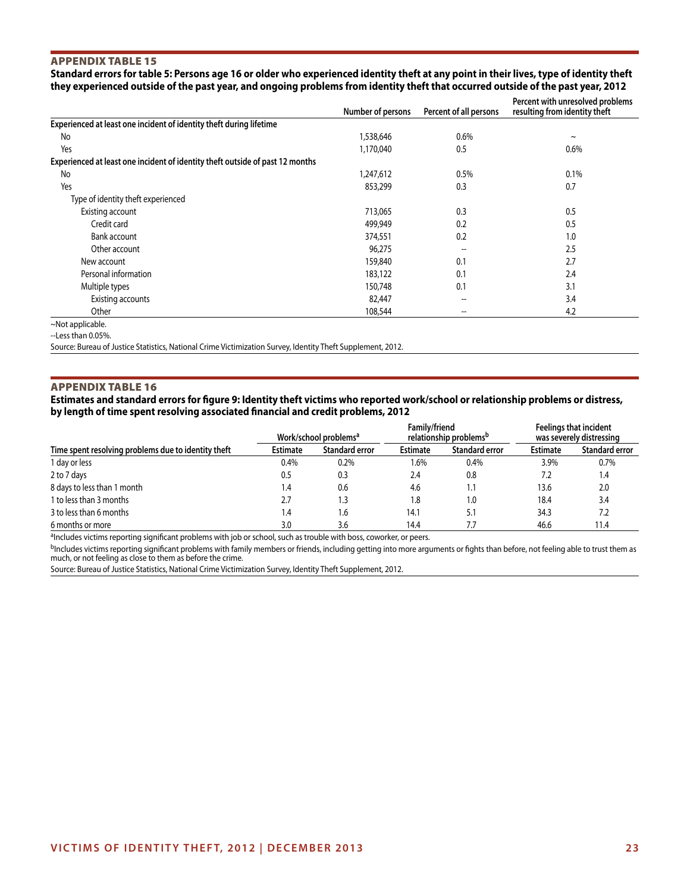## Appendix Table 15

**Standard errors for table 5: Persons age 16 or older who experienced identity theft at any point in their lives, type of identity theft they experienced outside of the past year, and ongoing problems from identity theft that occurred outside of the past year, 2012**

|                                                                               | Number of persons | Percent of all persons              | Percent with unresolved problems<br>resulting from identity theft |
|-------------------------------------------------------------------------------|-------------------|-------------------------------------|-------------------------------------------------------------------|
| Experienced at least one incident of identity theft during lifetime           |                   |                                     |                                                                   |
| No                                                                            | 1,538,646         | 0.6%                                | $\tilde{}$                                                        |
| Yes                                                                           | 1,170,040         | 0.5                                 | 0.6%                                                              |
| Experienced at least one incident of identity theft outside of past 12 months |                   |                                     |                                                                   |
| No                                                                            | 1,247,612         | 0.5%                                | 0.1%                                                              |
| Yes                                                                           | 853,299           | 0.3                                 | 0.7                                                               |
| Type of identity theft experienced                                            |                   |                                     |                                                                   |
| Existing account                                                              | 713,065           | 0.3                                 | 0.5                                                               |
| Credit card                                                                   | 499,949           | 0.2                                 | 0.5                                                               |
| Bank account                                                                  | 374,551           | 0.2                                 | 1.0                                                               |
| Other account                                                                 | 96,275            |                                     | 2.5                                                               |
| New account                                                                   | 159,840           | 0.1                                 | 2.7                                                               |
| Personal information                                                          | 183,122           | 0.1                                 | 2.4                                                               |
| Multiple types                                                                | 150,748           | 0.1                                 | 3.1                                                               |
| Existing accounts                                                             | 82,447            | $\overline{\phantom{a}}$            | 3.4                                                               |
| Other                                                                         | 108,544           | $\hspace{0.05cm}$ $\hspace{0.05cm}$ | 4.2                                                               |
| ~Not applicable.                                                              |                   |                                     |                                                                   |

--Less than 0.05%.

Source: Bureau of Justice Statistics, National Crime Victimization Survey, Identity Theft Supplement, 2012.

#### Appendix Table 16

**Estimates and standard errors for figure 9: Identity theft victims who reported work/school or relationship problems or distress, by length of time spent resolving associated financial and credit problems, 2012**

|                                                     |                               | Work/school problems <sup>a</sup> | Family/friend   | relationship problems <sup>b</sup> | <b>Feelings that incident</b><br>was severely distressing |                       |  |
|-----------------------------------------------------|-------------------------------|-----------------------------------|-----------------|------------------------------------|-----------------------------------------------------------|-----------------------|--|
| Time spent resolving problems due to identity theft | <b>Estimate</b>               | <b>Standard error</b>             | <b>Estimate</b> | <b>Standard error</b>              | <b>Estimate</b>                                           | <b>Standard error</b> |  |
| 1 day or less                                       | 0.4%                          | 0.2%                              | $1.6\%$         | 0.4%                               | 3.9%                                                      | $0.7\%$               |  |
| 2 to 7 days                                         | 0.5                           | 0.3                               | 2.4             | 0.8                                | 7.2                                                       | 1.4                   |  |
| 8 days to less than 1 month                         | $\mathsf{I} \cdot \mathsf{A}$ | 0.6                               | 4.6             | 1.1                                | 13.6                                                      | 2.0                   |  |
| 1 to less than 3 months                             | 2.7                           | 1.3                               | 1.8             | 1.0                                | 18.4                                                      | 3.4                   |  |
| 3 to less than 6 months                             | 4. ا                          | 1.6                               | 14.1            | 5.1                                | 34.3                                                      | 7.2                   |  |
| 6 months or more                                    | 3.0                           | 3.6                               | 14.4            |                                    | 46.6                                                      | 11.4                  |  |

aIncludes victims reporting significant problems with job or school, such as trouble with boss, coworker, or peers.

bIncludes victims reporting significant problems with family members or friends, including getting into more arguments or fights than before, not feeling able to trust them as much, or not feeling as close to them as before the crime.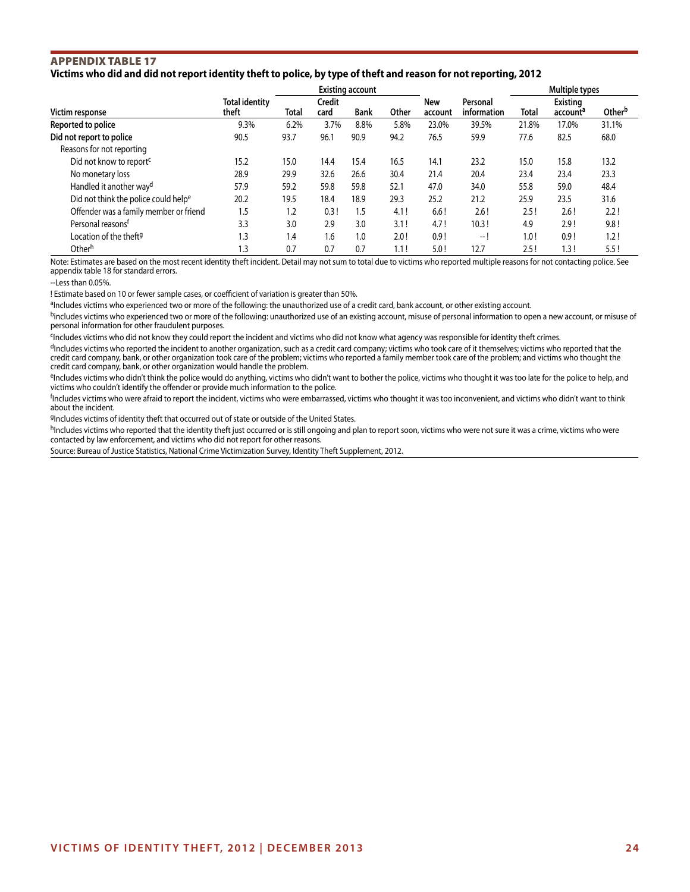## Appendix Table 17 **Victims who did and did not report identity theft to police, by type of theft and reason for not reporting, 2012**

|                                                  |                                |       | <b>Existing account</b> |             |       |                |                         |       | Multiple types                   |                    |
|--------------------------------------------------|--------------------------------|-------|-------------------------|-------------|-------|----------------|-------------------------|-------|----------------------------------|--------------------|
| Victim response                                  | <b>Total identity</b><br>theft | Total | Credit<br>card          | <b>Bank</b> | Other | New<br>account | Personal<br>information | Total | Existing<br>account <sup>a</sup> | Other <sup>b</sup> |
| Reported to police                               | 9.3%                           | 6.2%  | 3.7%                    | 8.8%        | 5.8%  | 23.0%          | 39.5%                   | 21.8% | 17.0%                            | 31.1%              |
| Did not report to police                         | 90.5                           | 93.7  | 96.1                    | 90.9        | 94.2  | 76.5           | 59.9                    | 77.6  | 82.5                             | 68.0               |
| Reasons for not reporting                        |                                |       |                         |             |       |                |                         |       |                                  |                    |
| Did not know to report <sup>c</sup>              | 15.2                           | 15.0  | 14.4                    | 15.4        | 16.5  | 14.1           | 23.2                    | 15.0  | 15.8                             | 13.2               |
| No monetary loss                                 | 28.9                           | 29.9  | 32.6                    | 26.6        | 30.4  | 21.4           | 20.4                    | 23.4  | 23.4                             | 23.3               |
| Handled it another way <sup>d</sup>              | 57.9                           | 59.2  | 59.8                    | 59.8        | 52.1  | 47.0           | 34.0                    | 55.8  | 59.0                             | 48.4               |
| Did not think the police could help <sup>e</sup> | 20.2                           | 19.5  | 18.4                    | 18.9        | 29.3  | 25.2           | 21.2                    | 25.9  | 23.5                             | 31.6               |
| Offender was a family member or friend           | 1.5                            | 1.2   | 0.3!                    | 1.5         | 4.1!  | 6.6!           | 2.6!                    | 2.5!  | 2.6!                             | 2.2!               |
| Personal reasons <sup>t</sup>                    | 3.3                            | 3.0   | 2.9                     | 3.0         | 3.1!  | 4.7!           | 10.3!                   | 4.9   | 2.9!                             | 9.8!               |
| Location of the theft <sup>g</sup>               | 1.3                            | 1.4   | 1.6                     | 1.0         | 2.0!  | 0.9!           | -- I                    | 1.0!  | 0.9!                             | 1.2!               |
| Other <sup>h</sup>                               | 1.3                            | 0.7   | 0.7                     | 0.7         | 1.1!  | 5.0!           | 12.7                    | 2.5!  | 1.3!                             | 5.5!               |

Note: Estimates are based on the most recent identity theft incident. Detail may not sum to total due to victims who reported multiple reasons for not contacting police. See appendix table 18 for standard errors.

 $-$ Less than 0.05%.

! Estimate based on 10 or fewer sample cases, or coefficient of variation is greater than 50%.

aIncludes victims who experienced two or more of the following: the unauthorized use of a credit card, bank account, or other existing account.

<sup>b</sup>includes victims who experienced two or more of the following: unauthorized use of an existing account, misuse of personal information to open a new account, or misuse of personal information for other fraudulent purposes.

<sup>c</sup>Includes victims who did not know they could report the incident and victims who did not know what agency was responsible for identity theft crimes.

<sup>d</sup>Includes victims who reported the incident to another organization, such as a credit card company; victims who took care of it themselves; victims who reported that the credit card company, bank, or other organization took care of the problem; victims who reported a family member took care of the problem; and victims who thought the credit card company, bank, or other organization would handle the problem.

eIncludes victims who didn't think the police would do anything, victims who didn't want to bother the police, victims who thought it was too late for the police to help, and victims who couldn't identify the offender or provide much information to the police.

f Includes victims who were afraid to report the incident, victims who were embarrassed, victims who thought it was too inconvenient, and victims who didn't want to think about the incident.

9Includes victims of identity theft that occurred out of state or outside of the United States.

h<sub>Includes victims who reported that the identity theft just occurred or is still ongoing and plan to report soon, victims who were not sure it was a crime, victims who were</sub> contacted by law enforcement, and victims who did not report for other reasons.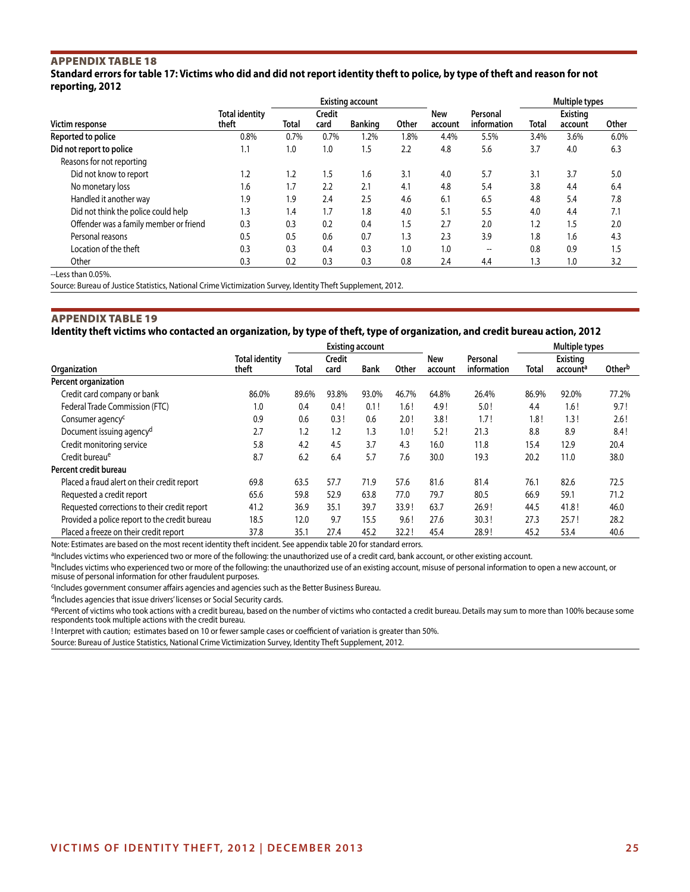## Appendix Table 18

**Standard errors for table 17: Victims who did and did not report identity theft to police, by type of theft and reason for not reporting, 2012**

|                                        |                                | <b>Existing account</b> |                       |                |       |                |                         | Multiple types |                            |       |
|----------------------------------------|--------------------------------|-------------------------|-----------------------|----------------|-------|----------------|-------------------------|----------------|----------------------------|-------|
| Victim response                        | <b>Total identity</b><br>theft | Total                   | <b>Credit</b><br>card | <b>Banking</b> | Other | New<br>account | Personal<br>information | Total          | <b>Existing</b><br>account | Other |
| Reported to police                     | 0.8%                           | 0.7%                    | 0.7%                  | 1.2%           | 1.8%  | 4.4%           | 5.5%                    | 3.4%           | 3.6%                       | 6.0%  |
| Did not report to police               | 1.1                            | 1.0                     | 1.0                   | 1.5            | 2.2   | 4.8            | 5.6                     | 3.7            | 4.0                        | 6.3   |
| Reasons for not reporting              |                                |                         |                       |                |       |                |                         |                |                            |       |
| Did not know to report                 | 1.2                            | 1.2                     | 1.5                   | 1.6            | 3.1   | 4.0            | 5.7                     | 3.1            | 3.7                        | 5.0   |
| No monetary loss                       | 1.6                            | 1.7                     | 2.2                   | 2.1            | 4.1   | 4.8            | 5.4                     | 3.8            | 4.4                        | 6.4   |
| Handled it another way                 | 1.9                            | 1.9                     | 2.4                   | 2.5            | 4.6   | 6.1            | 6.5                     | 4.8            | 5.4                        | 7.8   |
| Did not think the police could help    | 1.3                            | 1.4                     | 1.7                   | 1.8            | 4.0   | 5.1            | 5.5                     | 4.0            | 4.4                        | 7.1   |
| Offender was a family member or friend | 0.3                            | 0.3                     | 0.2                   | 0.4            | 1.5   | 2.7            | 2.0                     | 1.2            | 1.5                        | 2.0   |
| Personal reasons                       | 0.5                            | 0.5                     | 0.6                   | 0.7            | 1.3   | 2.3            | 3.9                     | 1.8            | 1.6                        | 4.3   |
| Location of the theft                  | 0.3                            | 0.3                     | 0.4                   | 0.3            | 1.0   | 1.0            | --                      | 0.8            | 0.9                        | 1.5   |
| Other                                  | 0.3                            | 0.2                     | 0.3                   | 0.3            | 0.8   | 2.4            | 4.4                     | 1.3            | 1.0                        | 3.2   |
| --Less than 0.05%.                     |                                |                         |                       |                |       |                |                         |                |                            |       |

Source: Bureau of Justice Statistics, National Crime Victimization Survey, Identity Theft Supplement, 2012.

### Appendix Table 19

**Identity theft victims who contacted an organization, by type of theft, type of organization, and credit bureau action, 2012**

|                                               |                                | <b>Existing account</b> |                |             |       |                |                         | <b>Multiple types</b> |                                         |                    |
|-----------------------------------------------|--------------------------------|-------------------------|----------------|-------------|-------|----------------|-------------------------|-----------------------|-----------------------------------------|--------------------|
| Organization                                  | <b>Total identity</b><br>theft | Total                   | Credit<br>card | <b>Bank</b> | Other | New<br>account | Personal<br>information | Total                 | <b>Existing</b><br>account <sup>a</sup> | Other <sup>b</sup> |
| Percent organization                          |                                |                         |                |             |       |                |                         |                       |                                         |                    |
| Credit card company or bank                   | 86.0%                          | 89.6%                   | 93.8%          | 93.0%       | 46.7% | 64.8%          | 26.4%                   | 86.9%                 | 92.0%                                   | 77.2%              |
| Federal Trade Commission (FTC)                | 1.0                            | 0.4                     | 0.4!           | 0.1!        | 1.6!  | 4.9!           | 5.0!                    | 4.4                   | 1.6!                                    | 9.7!               |
| Consumer agency <sup>c</sup>                  | 0.9                            | 0.6                     | 0.3!           | 0.6         | 2.0!  | 3.8!           | 1.7!                    | 1.8!                  | 1.3!                                    | 2.6!               |
| Document issuing agency <sup>d</sup>          | 2.7                            | 1.2                     | 1.2            | 1.3         | 1.0!  | 5.2!           | 21.3                    | 8.8                   | 8.9                                     | 8.4!               |
| Credit monitoring service                     | 5.8                            | 4.2                     | 4.5            | 3.7         | 4.3   | 16.0           | 11.8                    | 15.4                  | 12.9                                    | 20.4               |
| Credit bureau <sup>e</sup>                    | 8.7                            | 6.2                     | 6.4            | 5.7         | 7.6   | 30.0           | 19.3                    | 20.2                  | 11.0                                    | 38.0               |
| Percent credit bureau                         |                                |                         |                |             |       |                |                         |                       |                                         |                    |
| Placed a fraud alert on their credit report   | 69.8                           | 63.5                    | 57.7           | 71.9        | 57.6  | 81.6           | 81.4                    | 76.1                  | 82.6                                    | 72.5               |
| Requested a credit report                     | 65.6                           | 59.8                    | 52.9           | 63.8        | 77.0  | 79.7           | 80.5                    | 66.9                  | 59.1                                    | 71.2               |
| Requested corrections to their credit report  | 41.2                           | 36.9                    | 35.1           | 39.7        | 33.9! | 63.7           | 26.9!                   | 44.5                  | 41.8!                                   | 46.0               |
| Provided a police report to the credit bureau | 18.5                           | 12.0                    | 9.7            | 15.5        | 9.6!  | 27.6           | 30.3!                   | 27.3                  | 25.7!                                   | 28.2               |
| Placed a freeze on their credit report        | 37.8                           | 35.1                    | 27.4           | 45.2        | 32.2! | 45.4           | 28.9!                   | 45.2                  | 53.4                                    | 40.6               |

Note: Estimates are based on the most recent identity theft incident. See appendix table 20 for standard errors.

aIncludes victims who experienced two or more of the following: the unauthorized use of a credit card, bank account, or other existing account.

bIncludes victims who experienced two or more of the following: the unauthorized use of an existing account, misuse of personal information to open a new account, or

misuse of personal information for other fraudulent purposes.

<sup>c</sup>Includes government consumer affairs agencies and agencies such as the Better Business Bureau.

dIncludes agencies that issue drivers' licenses or Social Security cards.

ePercent of victims who took actions with a credit bureau, based on the number of victims who contacted a credit bureau. Details may sum to more than 100% because some respondents took multiple actions with the credit bureau.

! Interpret with caution; estimates based on 10 or fewer sample cases or coefficient of variation is greater than 50%.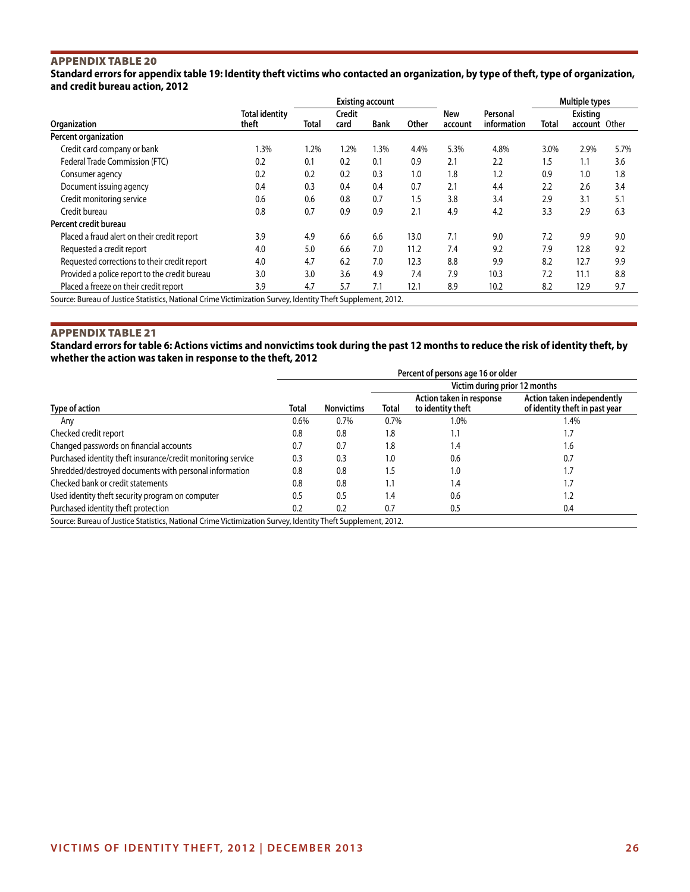## Appendix Table 20

**Standard errors for appendix table 19: Identity theft victims who contacted an organization, by type of theft, type of organization, and credit bureau action, 2012**

|                                                                                                             |                                |       |                | Multiple types |       |                |                         |       |                                  |      |
|-------------------------------------------------------------------------------------------------------------|--------------------------------|-------|----------------|----------------|-------|----------------|-------------------------|-------|----------------------------------|------|
| Organization                                                                                                | <b>Total identity</b><br>theft | Total | Credit<br>card | <b>Bank</b>    | Other | New<br>account | Personal<br>information | Total | <b>Existing</b><br>account Other |      |
|                                                                                                             |                                |       |                |                |       |                |                         |       |                                  |      |
| Percent organization                                                                                        |                                |       |                |                |       |                |                         |       |                                  |      |
| Credit card company or bank                                                                                 | 1.3%                           | 1.2%  | 1.2%           | 1.3%           | 4.4%  | 5.3%           | 4.8%                    | 3.0%  | 2.9%                             | 5.7% |
| Federal Trade Commission (FTC)                                                                              | 0.2                            | 0.1   | 0.2            | 0.1            | 0.9   | 2.1            | 2.2                     | 1.5   | 1.1                              | 3.6  |
| Consumer agency                                                                                             | 0.2                            | 0.2   | 0.2            | 0.3            | 1.0   | 1.8            | 1.2                     | 0.9   | 1.0                              | 1.8  |
| Document issuing agency                                                                                     | 0.4                            | 0.3   | 0.4            | 0.4            | 0.7   | 2.1            | 4.4                     | 2.2   | 2.6                              | 3.4  |
| Credit monitoring service                                                                                   | 0.6                            | 0.6   | 0.8            | 0.7            | 1.5   | 3.8            | 3.4                     | 2.9   | 3.1                              | 5.1  |
| Credit bureau                                                                                               | 0.8                            | 0.7   | 0.9            | 0.9            | 2.1   | 4.9            | 4.2                     | 3.3   | 2.9                              | 6.3  |
| Percent credit bureau                                                                                       |                                |       |                |                |       |                |                         |       |                                  |      |
| Placed a fraud alert on their credit report                                                                 | 3.9                            | 4.9   | 6.6            | 6.6            | 13.0  | 7.1            | 9.0                     | 7.2   | 9.9                              | 9.0  |
| Requested a credit report                                                                                   | 4.0                            | 5.0   | 6.6            | 7.0            | 11.2  | 7.4            | 9.2                     | 7.9   | 12.8                             | 9.2  |
| Requested corrections to their credit report                                                                | 4.0                            | 4.7   | 6.2            | 7.0            | 12.3  | 8.8            | 9.9                     | 8.2   | 12.7                             | 9.9  |
| Provided a police report to the credit bureau                                                               | 3.0                            | 3.0   | 3.6            | 4.9            | 7.4   | 7.9            | 10.3                    | 7.2   | 11.1                             | 8.8  |
| Placed a freeze on their credit report                                                                      | 3.9                            | 4.7   | 5.7            | 7.1            | 12.1  | 8.9            | 10.2                    | 8.2   | 12.9                             | 9.7  |
| Source: Bureau of Justice Statistics, National Crime Victimization Survey, Identity Theft Supplement, 2012. |                                |       |                |                |       |                |                         |       |                                  |      |

### Appendix Table 21

**Standard errors for table 6: Actions victims and nonvictims took during the past 12 months to reduce the risk of identity theft, by whether the action was taken in response to the theft, 2012**

|                                                                                                             | Percent of persons age 16 or older |                   |                               |                                               |                                                              |  |  |  |  |
|-------------------------------------------------------------------------------------------------------------|------------------------------------|-------------------|-------------------------------|-----------------------------------------------|--------------------------------------------------------------|--|--|--|--|
|                                                                                                             |                                    | <b>Nonvictims</b> | Victim during prior 12 months |                                               |                                                              |  |  |  |  |
| Type of action                                                                                              | Total                              |                   | Total                         | Action taken in response<br>to identity theft | Action taken independently<br>of identity theft in past year |  |  |  |  |
| Any                                                                                                         | 0.6%                               | 0.7%              | 0.7%                          | 1.0%                                          | 1.4%                                                         |  |  |  |  |
| Checked credit report                                                                                       | 0.8                                | 0.8               | 1.8                           | 1.1                                           | 1.7                                                          |  |  |  |  |
| Changed passwords on financial accounts                                                                     | 0.7                                | 0.7               | 1.8                           | 1.4                                           | 1.6                                                          |  |  |  |  |
| Purchased identity theft insurance/credit monitoring service                                                | 0.3                                | 0.3               | 1.0                           | 0.6                                           | 0.7                                                          |  |  |  |  |
| Shredded/destroyed documents with personal information                                                      | 0.8                                | 0.8               | 1.5                           | 1.0                                           | ٦.                                                           |  |  |  |  |
| Checked bank or credit statements                                                                           | 0.8                                | 0.8               | 1.1                           | 1.4                                           | ٦.                                                           |  |  |  |  |
| Used identity theft security program on computer                                                            | 0.5                                | 0.5               | 1.4                           | 0.6                                           | $\cdot$ .2                                                   |  |  |  |  |
| Purchased identity theft protection                                                                         | 0.2                                | 0.2               | 0.7                           | 0.5                                           | 0.4                                                          |  |  |  |  |
| Source: Bureau of Justice Statistics, National Crime Victimization Survey, Identity Theft Supplement, 2012. |                                    |                   |                               |                                               |                                                              |  |  |  |  |